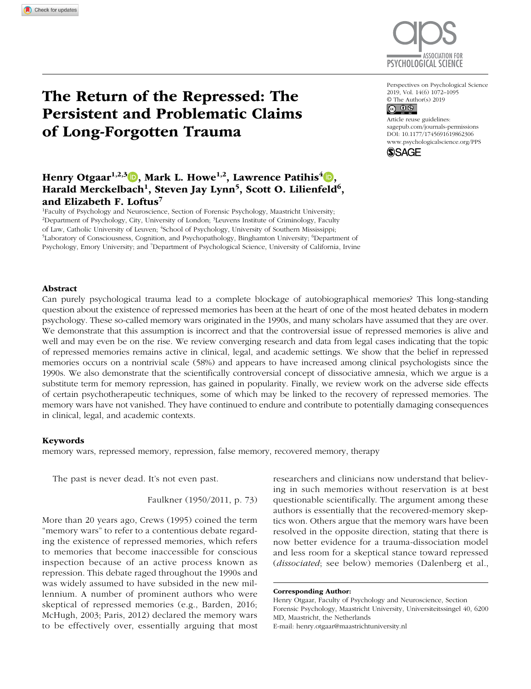

Perspectives on Psychological Science 2019, Vol. 14(6) 1072–1095

# The Return of the Repressed: The Persistent and Problematic Claims of Long-Forgotten Trauma

## Henry Otgaar<sup>1,2,3</sup>  $\Box$ , Mark L. Howe<sup>1,2</sup>, Lawrence Patihis<sup>4</sup> $\Box$ , Harald Merckelbach<sup>1</sup>, Steven Jay Lynn<sup>5</sup>, Scott O. Lilienfeld<sup>6</sup>, and Elizabeth F. Loftus<sup>7</sup>

1 Faculty of Psychology and Neuroscience, Section of Forensic Psychology, Maastricht University; <sup>2</sup>Department of Psychology, City, University of London; <sup>3</sup>Leuvens Institute of Criminology, Faculty of Law, Catholic University of Leuven; <sup>4</sup>School of Psychology, University of Southern Mississippi;<br><sup>5</sup>I aboratory of Consciousness, Cognition, and Psychopathology, Binghamton University<sup>, 6</sup>Departm Laboratory of Consciousness, Cognition, and Psychopathology, Binghamton University; <sup>6</sup>Department of Psychology, Emory University; and 7 Department of Psychological Science, University of California, Irvine © The Author(s) 2019<br>  $\bigodot$  0  $\bigodot$ 

DOI: 10.1177/1745691619862306 Article reuse guidelines: [sagepub.com/journals-permissions](https://sagepub.com/journals-permissions) [www.psychologicalscience.org/PPS](http://www.psychologicalscience.org/pps)



#### Abstract

Can purely psychological trauma lead to a complete blockage of autobiographical memories? This long-standing question about the existence of repressed memories has been at the heart of one of the most heated debates in modern psychology. These so-called memory wars originated in the 1990s, and many scholars have assumed that they are over. We demonstrate that this assumption is incorrect and that the controversial issue of repressed memories is alive and well and may even be on the rise. We review converging research and data from legal cases indicating that the topic of repressed memories remains active in clinical, legal, and academic settings. We show that the belief in repressed memories occurs on a nontrivial scale (58%) and appears to have increased among clinical psychologists since the 1990s. We also demonstrate that the scientifically controversial concept of dissociative amnesia, which we argue is a substitute term for memory repression, has gained in popularity. Finally, we review work on the adverse side effects of certain psychotherapeutic techniques, some of which may be linked to the recovery of repressed memories. The memory wars have not vanished. They have continued to endure and contribute to potentially damaging consequences in clinical, legal, and academic contexts.

#### Keywords

memory wars, repressed memory, repression, false memory, recovered memory, therapy

The past is never dead. It's not even past.

Faulkner (1950/2011, p. 73)

More than 20 years ago, Crews (1995) coined the term "memory wars" to refer to a contentious debate regarding the existence of repressed memories, which refers to memories that become inaccessible for conscious inspection because of an active process known as repression. This debate raged throughout the 1990s and was widely assumed to have subsided in the new millennium. A number of prominent authors who were skeptical of repressed memories (e.g., Barden, 2016; McHugh, 2003; Paris, 2012) declared the memory wars to be effectively over, essentially arguing that most researchers and clinicians now understand that believing in such memories without reservation is at best questionable scientifically. The argument among these authors is essentially that the recovered-memory skeptics won. Others argue that the memory wars have been resolved in the opposite direction, stating that there is now better evidence for a trauma-dissociation model and less room for a skeptical stance toward repressed (*dissociated*; see below) memories (Dalenberg et al.,

Henry Otgaar, Faculty of Psychology and Neuroscience, Section Forensic Psychology, Maastricht University, Universiteitssingel 40, 6200 MD, Maastricht, the Netherlands E-mail: [henry.otgaar@maastrichtuniversity.nl](mailto:henry.otgaar@maastrichtuniversity.nl)

Corresponding Author: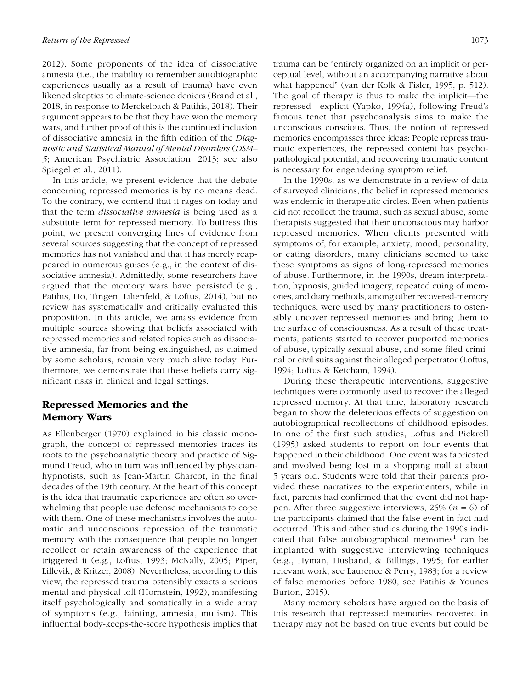2012). Some proponents of the idea of dissociative amnesia (i.e., the inability to remember autobiographic experiences usually as a result of trauma) have even likened skeptics to climate-science deniers (Brand et al., 2018, in response to Merckelbach & Patihis, 2018). Their argument appears to be that they have won the memory wars, and further proof of this is the continued inclusion of dissociative amnesia in the fifth edition of the *Diagnostic and Statistical Manual of Mental Disorders* (*DSM– 5*; American Psychiatric Association, 2013; see also Spiegel et al., 2011).

In this article, we present evidence that the debate concerning repressed memories is by no means dead. To the contrary, we contend that it rages on today and that the term *dissociative amnesia* is being used as a substitute term for repressed memory. To buttress this point, we present converging lines of evidence from several sources suggesting that the concept of repressed memories has not vanished and that it has merely reappeared in numerous guises (e.g., in the context of dissociative amnesia). Admittedly, some researchers have argued that the memory wars have persisted (e.g., Patihis, Ho, Tingen, Lilienfeld, & Loftus, 2014), but no review has systematically and critically evaluated this proposition. In this article, we amass evidence from multiple sources showing that beliefs associated with repressed memories and related topics such as dissociative amnesia, far from being extinguished, as claimed by some scholars, remain very much alive today. Furthermore, we demonstrate that these beliefs carry significant risks in clinical and legal settings.

## Repressed Memories and the Memory Wars

As Ellenberger (1970) explained in his classic monograph, the concept of repressed memories traces its roots to the psychoanalytic theory and practice of Sigmund Freud, who in turn was influenced by physicianhypnotists, such as Jean-Martin Charcot, in the final decades of the 19th century. At the heart of this concept is the idea that traumatic experiences are often so overwhelming that people use defense mechanisms to cope with them. One of these mechanisms involves the automatic and unconscious repression of the traumatic memory with the consequence that people no longer recollect or retain awareness of the experience that triggered it (e.g., Loftus, 1993; McNally, 2005; Piper, Lillevik, & Kritzer, 2008). Nevertheless, according to this view, the repressed trauma ostensibly exacts a serious mental and physical toll (Hornstein, 1992), manifesting itself psychologically and somatically in a wide array of symptoms (e.g., fainting, amnesia, mutism). This influential body-keeps-the-score hypothesis implies that trauma can be "entirely organized on an implicit or perceptual level, without an accompanying narrative about what happened" (van der Kolk & Fisler, 1995, p. 512). The goal of therapy is thus to make the implicit—the repressed—explicit (Yapko, 1994a), following Freud's famous tenet that psychoanalysis aims to make the unconscious conscious. Thus, the notion of repressed memories encompasses three ideas: People repress traumatic experiences, the repressed content has psychopathological potential, and recovering traumatic content is necessary for engendering symptom relief.

In the 1990s, as we demonstrate in a review of data of surveyed clinicians, the belief in repressed memories was endemic in therapeutic circles. Even when patients did not recollect the trauma, such as sexual abuse, some therapists suggested that their unconscious may harbor repressed memories. When clients presented with symptoms of, for example, anxiety, mood, personality, or eating disorders, many clinicians seemed to take these symptoms as signs of long-repressed memories of abuse. Furthermore, in the 1990s, dream interpretation, hypnosis, guided imagery, repeated cuing of memories, and diary methods, among other recovered-memory techniques, were used by many practitioners to ostensibly uncover repressed memories and bring them to the surface of consciousness. As a result of these treatments, patients started to recover purported memories of abuse, typically sexual abuse, and some filed criminal or civil suits against their alleged perpetrator (Loftus, 1994; Loftus & Ketcham, 1994).

During these therapeutic interventions, suggestive techniques were commonly used to recover the alleged repressed memory. At that time, laboratory research began to show the deleterious effects of suggestion on autobiographical recollections of childhood episodes. In one of the first such studies, Loftus and Pickrell (1995) asked students to report on four events that happened in their childhood. One event was fabricated and involved being lost in a shopping mall at about 5 years old. Students were told that their parents provided these narratives to the experimenters, while in fact, parents had confirmed that the event did not happen. After three suggestive interviews, 25% (*n* = 6) of the participants claimed that the false event in fact had occurred. This and other studies during the 1990s indicated that false autobiographical memories<sup>1</sup> can be implanted with suggestive interviewing techniques (e.g., Hyman, Husband, & Billings, 1995; for earlier relevant work, see Laurence & Perry, 1983; for a review of false memories before 1980, see Patihis & Younes Burton, 2015).

Many memory scholars have argued on the basis of this research that repressed memories recovered in therapy may not be based on true events but could be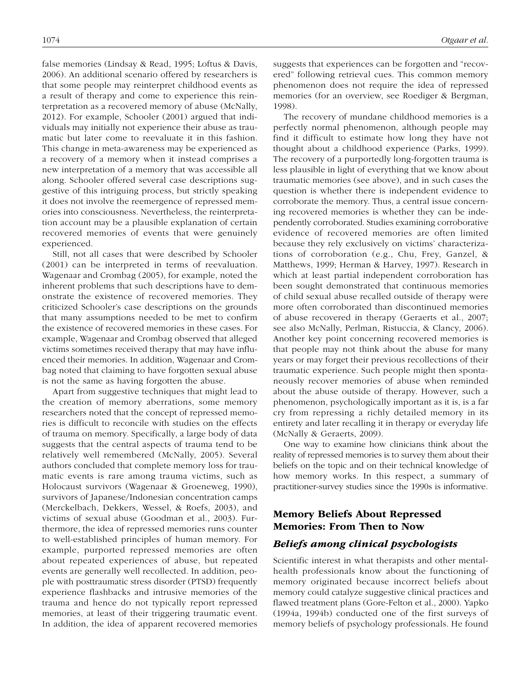false memories (Lindsay & Read, 1995; Loftus & Davis, 2006). An additional scenario offered by researchers is that some people may reinterpret childhood events as a result of therapy and come to experience this reinterpretation as a recovered memory of abuse (McNally, 2012). For example, Schooler (2001) argued that individuals may initially not experience their abuse as traumatic but later come to reevaluate it in this fashion. This change in meta-awareness may be experienced as a recovery of a memory when it instead comprises a new interpretation of a memory that was accessible all along. Schooler offered several case descriptions suggestive of this intriguing process, but strictly speaking it does not involve the reemergence of repressed memories into consciousness. Nevertheless, the reinterpretation account may be a plausible explanation of certain recovered memories of events that were genuinely experienced.

Still, not all cases that were described by Schooler (2001) can be interpreted in terms of reevaluation. Wagenaar and Crombag (2005), for example, noted the inherent problems that such descriptions have to demonstrate the existence of recovered memories. They criticized Schooler's case descriptions on the grounds that many assumptions needed to be met to confirm the existence of recovered memories in these cases. For example, Wagenaar and Crombag observed that alleged victims sometimes received therapy that may have influenced their memories. In addition, Wagenaar and Crombag noted that claiming to have forgotten sexual abuse is not the same as having forgotten the abuse.

Apart from suggestive techniques that might lead to the creation of memory aberrations, some memory researchers noted that the concept of repressed memories is difficult to reconcile with studies on the effects of trauma on memory. Specifically, a large body of data suggests that the central aspects of trauma tend to be relatively well remembered (McNally, 2005). Several authors concluded that complete memory loss for traumatic events is rare among trauma victims, such as Holocaust survivors (Wagenaar & Groeneweg, 1990), survivors of Japanese/Indonesian concentration camps (Merckelbach, Dekkers, Wessel, & Roefs, 2003), and victims of sexual abuse (Goodman et al., 2003). Furthermore, the idea of repressed memories runs counter to well-established principles of human memory. For example, purported repressed memories are often about repeated experiences of abuse, but repeated events are generally well recollected. In addition, people with posttraumatic stress disorder (PTSD) frequently experience flashbacks and intrusive memories of the trauma and hence do not typically report repressed memories, at least of their triggering traumatic event. In addition, the idea of apparent recovered memories suggests that experiences can be forgotten and "recovered" following retrieval cues. This common memory phenomenon does not require the idea of repressed memories (for an overview, see Roediger & Bergman, 1998).

The recovery of mundane childhood memories is a perfectly normal phenomenon, although people may find it difficult to estimate how long they have not thought about a childhood experience (Parks, 1999). The recovery of a purportedly long-forgotten trauma is less plausible in light of everything that we know about traumatic memories (see above), and in such cases the question is whether there is independent evidence to corroborate the memory. Thus, a central issue concerning recovered memories is whether they can be independently corroborated. Studies examining corroborative evidence of recovered memories are often limited because they rely exclusively on victims' characterizations of corroboration (e.g., Chu, Frey, Ganzel, & Matthews, 1999; Herman & Harvey, 1997). Research in which at least partial independent corroboration has been sought demonstrated that continuous memories of child sexual abuse recalled outside of therapy were more often corroborated than discontinued memories of abuse recovered in therapy (Geraerts et al., 2007; see also McNally, Perlman, Ristuccia, & Clancy, 2006). Another key point concerning recovered memories is that people may not think about the abuse for many years or may forget their previous recollections of their traumatic experience. Such people might then spontaneously recover memories of abuse when reminded about the abuse outside of therapy. However, such a phenomenon, psychologically important as it is, is a far cry from repressing a richly detailed memory in its entirety and later recalling it in therapy or everyday life (McNally & Geraerts, 2009).

One way to examine how clinicians think about the reality of repressed memories is to survey them about their beliefs on the topic and on their technical knowledge of how memory works. In this respect, a summary of practitioner-survey studies since the 1990s is informative.

## Memory Beliefs About Repressed Memories: From Then to Now

## *Beliefs among clinical psychologists*

Scientific interest in what therapists and other mentalhealth professionals know about the functioning of memory originated because incorrect beliefs about memory could catalyze suggestive clinical practices and flawed treatment plans (Gore-Felton et al., 2000). Yapko (1994a, 1994b) conducted one of the first surveys of memory beliefs of psychology professionals. He found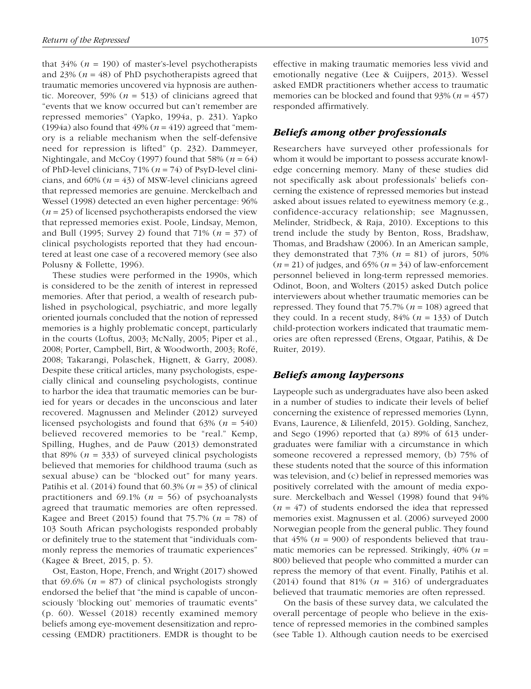that  $34\%$  ( $n = 190$ ) of master's-level psychotherapists and 23%  $(n = 48)$  of PhD psychotherapists agreed that traumatic memories uncovered via hypnosis are authentic. Moreover, 59% ( $n = 513$ ) of clinicians agreed that "events that we know occurred but can't remember are repressed memories" (Yapko, 1994a, p. 231). Yapko (1994a) also found that  $49\%$  ( $n = 419$ ) agreed that "memory is a reliable mechanism when the self-defensive need for repression is lifted" (p. 232). Dammeyer, Nightingale, and McCoy (1997) found that 58%  $(n = 64)$ of PhD-level clinicians, 71% (*n* = 74) of PsyD-level clinicians, and  $60\%$  ( $n = 43$ ) of MSW-level clinicians agreed that repressed memories are genuine. Merckelbach and Wessel (1998) detected an even higher percentage: 96%  $(n = 25)$  of licensed psychotherapists endorsed the view that repressed memories exist. Poole, Lindsay, Memon, and Bull (1995; Survey 2) found that 71% (*n* = 37) of clinical psychologists reported that they had encountered at least one case of a recovered memory (see also Polusny & Follette, 1996).

These studies were performed in the 1990s, which is considered to be the zenith of interest in repressed memories. After that period, a wealth of research published in psychological, psychiatric, and more legally oriented journals concluded that the notion of repressed memories is a highly problematic concept, particularly in the courts (Loftus, 2003; McNally, 2005; Piper et al., 2008; Porter, Campbell, Birt, & Woodworth, 2003; Rofé, 2008; Takarangi, Polaschek, Hignett, & Garry, 2008). Despite these critical articles, many psychologists, especially clinical and counseling psychologists, continue to harbor the idea that traumatic memories can be buried for years or decades in the unconscious and later recovered. Magnussen and Melinder (2012) surveyed licensed psychologists and found that 63% (*n* = 540) believed recovered memories to be "real." Kemp, Spilling, Hughes, and de Pauw (2013) demonstrated that 89%  $(n = 333)$  of surveyed clinical psychologists believed that memories for childhood trauma (such as sexual abuse) can be "blocked out" for many years. Patihis et al. (2014) found that 60.3% (*n* = 35) of clinical practitioners and  $69.1\%$  ( $n = 56$ ) of psychoanalysts agreed that traumatic memories are often repressed. Kagee and Breet (2015) found that 75.7% (*n* = 78) of 103 South African psychologists responded probably or definitely true to the statement that "individuals commonly repress the memories of traumatic experiences" (Kagee & Breet, 2015, p. 5).

Ost, Easton, Hope, French, and Wright (2017) showed that 69.6% ( $n = 87$ ) of clinical psychologists strongly endorsed the belief that "the mind is capable of unconsciously 'blocking out' memories of traumatic events" (p. 60). Wessel (2018) recently examined memory beliefs among eye-movement desensitization and reprocessing (EMDR) practitioners. EMDR is thought to be effective in making traumatic memories less vivid and emotionally negative (Lee & Cuijpers, 2013). Wessel asked EMDR practitioners whether access to traumatic memories can be blocked and found that  $93\%$  ( $n = 457$ ) responded affirmatively.

### *Beliefs among other professionals*

Researchers have surveyed other professionals for whom it would be important to possess accurate knowledge concerning memory. Many of these studies did not specifically ask about professionals' beliefs concerning the existence of repressed memories but instead asked about issues related to eyewitness memory (e.g., confidence-accuracy relationship; see Magnussen, Melinder, Stridbeck, & Raja, 2010). Exceptions to this trend include the study by Benton, Ross, Bradshaw, Thomas, and Bradshaw (2006). In an American sample, they demonstrated that  $73\%$  ( $n = 81$ ) of jurors, 50% (*n* = 21) of judges, and 65% (*n* = 34) of law-enforcement personnel believed in long-term repressed memories. Odinot, Boon, and Wolters (2015) asked Dutch police interviewers about whether traumatic memories can be repressed. They found that  $75.7\%$  ( $n = 108$ ) agreed that they could. In a recent study,  $84\%$  ( $n = 133$ ) of Dutch child-protection workers indicated that traumatic memories are often repressed (Erens, Otgaar, Patihis, & De Ruiter, 2019).

### *Beliefs among laypersons*

Laypeople such as undergraduates have also been asked in a number of studies to indicate their levels of belief concerning the existence of repressed memories (Lynn, Evans, Laurence, & Lilienfeld, 2015). Golding, Sanchez, and Sego (1996) reported that (a) 89% of 613 undergraduates were familiar with a circumstance in which someone recovered a repressed memory, (b) 75% of these students noted that the source of this information was television, and (c) belief in repressed memories was positively correlated with the amount of media exposure. Merckelbach and Wessel (1998) found that 94%  $(n = 47)$  of students endorsed the idea that repressed memories exist. Magnussen et al. (2006) surveyed 2000 Norwegian people from the general public. They found that  $45\%$  ( $n = 900$ ) of respondents believed that traumatic memories can be repressed. Strikingly, 40% (*n* = 800) believed that people who committed a murder can repress the memory of that event. Finally, Patihis et al. (2014) found that 81% ( $n = 316$ ) of undergraduates believed that traumatic memories are often repressed.

On the basis of these survey data, we calculated the overall percentage of people who believe in the existence of repressed memories in the combined samples (see Table 1). Although caution needs to be exercised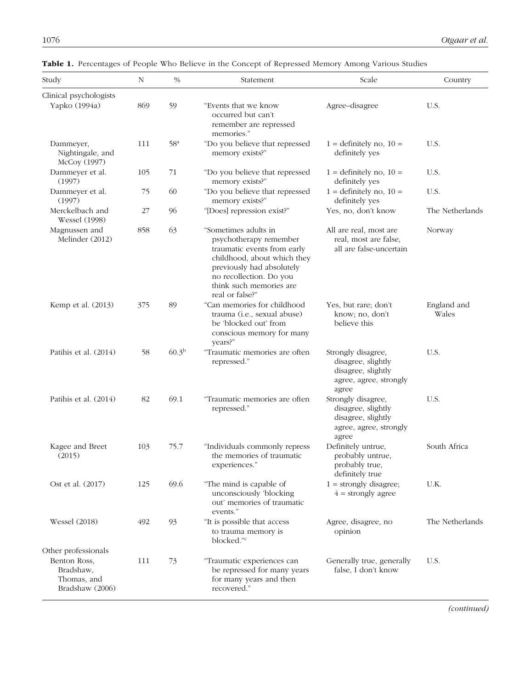| Study                                                       | N   | $\%$            | Statement                                                                                                                                                                                                          | Scale                                                                                             | Country              |
|-------------------------------------------------------------|-----|-----------------|--------------------------------------------------------------------------------------------------------------------------------------------------------------------------------------------------------------------|---------------------------------------------------------------------------------------------------|----------------------|
|                                                             |     |                 |                                                                                                                                                                                                                    |                                                                                                   |                      |
| Clinical psychologists<br>Yapko (1994a)                     | 869 | 59              | "Events that we know<br>occurred but can't<br>remember are repressed<br>memories."                                                                                                                                 | Agree-disagree                                                                                    | U.S.                 |
| Dammeyer,<br>Nightingale, and<br>McCoy (1997)               | 111 | 58 <sup>a</sup> | "Do you believe that repressed<br>memory exists?"                                                                                                                                                                  | $1 =$ definitely no, $10 =$<br>definitely yes                                                     | U.S.                 |
| Dammeyer et al.<br>(1997)                                   | 105 | 71              | "Do you believe that repressed<br>memory exists?"                                                                                                                                                                  | $1 =$ definitely no, $10 =$<br>definitely yes                                                     | U.S.                 |
| Dammeyer et al.<br>(1997)                                   | 75  | 60              | "Do you believe that repressed<br>memory exists?"                                                                                                                                                                  | $1 =$ definitely no, $10 =$<br>definitely yes                                                     | U.S.                 |
| Merckelbach and<br><b>Wessel</b> (1998)                     | 27  | 96              | "[Does] repression exist?"                                                                                                                                                                                         | Yes, no, don't know                                                                               | The Netherlands      |
| Magnussen and<br>Melinder (2012)                            | 858 | 63              | "Sometimes adults in<br>psychotherapy remember<br>traumatic events from early<br>childhood, about which they<br>previously had absolutely<br>no recollection. Do you<br>think such memories are<br>real or false?" | All are real, most are<br>real, most are false,<br>all are false-uncertain                        | Norway               |
| Kemp et al. (2013)                                          | 375 | 89              | "Can memories for childhood<br>trauma (i.e., sexual abuse)<br>be 'blocked out' from<br>conscious memory for many<br>years?"                                                                                        | Yes, but rare; don't<br>know; no, don't<br>believe this                                           | England and<br>Wales |
| Patihis et al. (2014)                                       | 58  | $60.3^{b}$      | "Traumatic memories are often<br>repressed."                                                                                                                                                                       | Strongly disagree,<br>disagree, slightly<br>disagree, slightly<br>agree, agree, strongly<br>agree | U.S.                 |
| Patihis et al. (2014)                                       | 82  | 69.1            | "Traumatic memories are often<br>repressed."                                                                                                                                                                       | Strongly disagree,<br>disagree, slightly<br>disagree, slightly<br>agree, agree, strongly<br>agree | U.S.                 |
| Kagee and Breet<br>(2015)                                   | 103 | 75.7            | "Individuals commonly repress<br>the memories of traumatic<br>experiences."                                                                                                                                        | Definitely untrue,<br>probably untrue,<br>probably true,<br>definitely true                       | South Africa         |
| Ost et al. (2017)                                           | 125 | 69.6            | "The mind is capable of<br>unconsciously 'blocking<br>out' memories of traumatic<br>events."                                                                                                                       | $1 =$ strongly disagree;<br>$4 =$ strongly agree                                                  | U.K.                 |
| <b>Wessel</b> (2018)                                        | 492 | 93              | "It is possible that access<br>to trauma memory is<br>blocked." <sup>c</sup>                                                                                                                                       | Agree, disagree, no<br>opinion                                                                    | The Netherlands      |
| Other professionals                                         |     |                 |                                                                                                                                                                                                                    |                                                                                                   |                      |
| Benton Ross,<br>Bradshaw,<br>Thomas, and<br>Bradshaw (2006) | 111 | 73              | "Traumatic experiences can<br>be repressed for many years<br>for many years and then<br>recovered."                                                                                                                | Generally true, generally<br>false, I don't know                                                  | U.S.                 |

Table 1. Percentages of People Who Believe in the Concept of Repressed Memory Among Various Studies

*(continued)*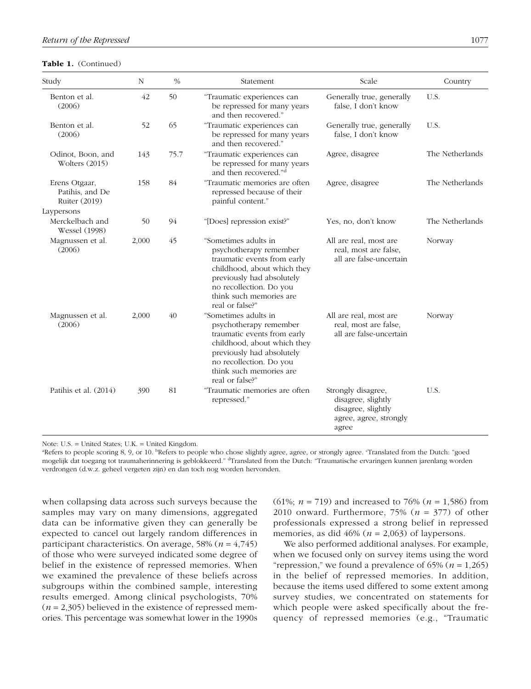#### Table 1. (Continued)

| Study                                             | N     | $\%$ | Statement                                                                                                                                                                                                          | Scale                                                                                             | Country         |
|---------------------------------------------------|-------|------|--------------------------------------------------------------------------------------------------------------------------------------------------------------------------------------------------------------------|---------------------------------------------------------------------------------------------------|-----------------|
| Benton et al.<br>(2006)                           | 42    | 50   | "Traumatic experiences can<br>be repressed for many years<br>and then recovered."                                                                                                                                  | Generally true, generally<br>false, I don't know                                                  | U.S.            |
| Benton et al.<br>(2006)                           | 52    | 65   | "Traumatic experiences can<br>be repressed for many years<br>and then recovered."                                                                                                                                  | Generally true, generally<br>false, I don't know                                                  | U.S.            |
| Odinot, Boon, and<br>Wolters $(2015)$             | 143   | 75.7 | "Traumatic experiences can<br>be repressed for many years<br>and then recovered." <sup>d</sup>                                                                                                                     | Agree, disagree                                                                                   | The Netherlands |
| Erens Otgaar,<br>Patihis, and De<br>Ruiter (2019) | 158   | 84   | "Traumatic memories are often<br>repressed because of their<br>painful content."                                                                                                                                   | Agree, disagree                                                                                   | The Netherlands |
| Laypersons                                        |       |      |                                                                                                                                                                                                                    |                                                                                                   |                 |
| Merckelbach and<br><b>Wessel</b> (1998)           | 50    | 94   | "[Does] repression exist?"                                                                                                                                                                                         | Yes, no, don't know                                                                               | The Netherlands |
| Magnussen et al.<br>(2006)                        | 2,000 | 45   | "Sometimes adults in<br>psychotherapy remember<br>traumatic events from early<br>childhood, about which they<br>previously had absolutely<br>no recollection. Do you<br>think such memories are<br>real or false?" | All are real, most are<br>real, most are false,<br>all are false-uncertain                        | Norway          |
| Magnussen et al.<br>(2006)                        | 2,000 | 40   | "Sometimes adults in<br>psychotherapy remember<br>traumatic events from early<br>childhood, about which they<br>previously had absolutely<br>no recollection. Do you<br>think such memories are<br>real or false?" | All are real, most are<br>real, most are false,<br>all are false-uncertain                        | Norway          |
| Patihis et al. (2014)                             | 390   | 81   | "Traumatic memories are often<br>repressed."                                                                                                                                                                       | Strongly disagree,<br>disagree, slightly<br>disagree, slightly<br>agree, agree, strongly<br>agree | U.S.            |

Note: U.S. = United States; U.K. = United Kingdom.

<sup>a</sup>Refers to people scoring 8, 9, or 10. <sup>b</sup>Refers to people who chose slightly agree, agree, or strongly agree. Translated from the Dutch: "goed mogelijk dat toegang tot traumaherinnering is geblokkeerd." <sup>a</sup>Translated from the Dutch: "Traumatische ervaringen kunnen jarenlang worden verdrongen (d.w.z. geheel vergeten zijn) en dan toch nog worden hervonden.

when collapsing data across such surveys because the samples may vary on many dimensions, aggregated data can be informative given they can generally be expected to cancel out largely random differences in participant characteristics. On average, 58% (*n* = 4,745) of those who were surveyed indicated some degree of belief in the existence of repressed memories. When we examined the prevalence of these beliefs across subgroups within the combined sample, interesting results emerged. Among clinical psychologists, 70% (*n* = 2,305) believed in the existence of repressed memories. This percentage was somewhat lower in the 1990s (61%; *n* = 719) and increased to 76% (*n* = 1,586) from 2010 onward. Furthermore, 75% (*n* = 377) of other professionals expressed a strong belief in repressed memories, as did  $46\%$  ( $n = 2,063$ ) of laypersons.

We also performed additional analyses. For example, when we focused only on survey items using the word "repression," we found a prevalence of  $65\%$  ( $n = 1,265$ ) in the belief of repressed memories. In addition, because the items used differed to some extent among survey studies, we concentrated on statements for which people were asked specifically about the frequency of repressed memories (e.g., "Traumatic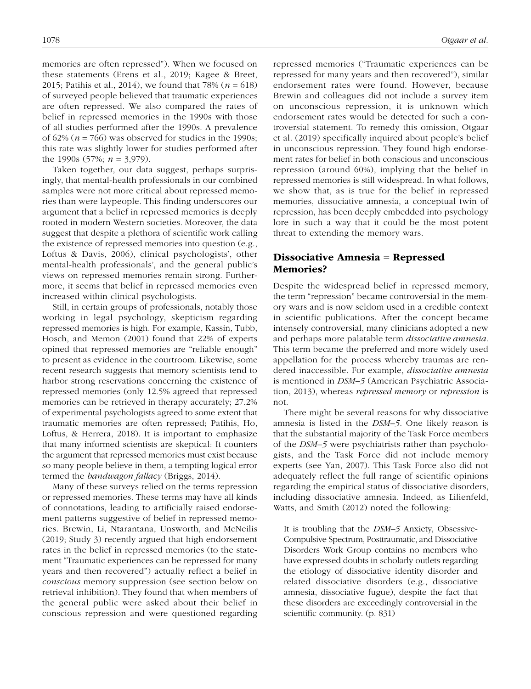memories are often repressed"). When we focused on these statements (Erens et al., 2019; Kagee & Breet, 2015; Patihis et al., 2014), we found that 78% (*n* = 618) of surveyed people believed that traumatic experiences are often repressed. We also compared the rates of belief in repressed memories in the 1990s with those of all studies performed after the 1990s. A prevalence of  $62\%$  ( $n = 766$ ) was observed for studies in the 1990s; this rate was slightly lower for studies performed after the 1990s (57%; *n* = 3,979).

Taken together, our data suggest, perhaps surprisingly, that mental-health professionals in our combined samples were not more critical about repressed memories than were laypeople. This finding underscores our argument that a belief in repressed memories is deeply rooted in modern Western societies. Moreover, the data suggest that despite a plethora of scientific work calling the existence of repressed memories into question (e.g., Loftus & Davis, 2006), clinical psychologists', other mental-health professionals', and the general public's views on repressed memories remain strong. Furthermore, it seems that belief in repressed memories even increased within clinical psychologists.

Still, in certain groups of professionals, notably those working in legal psychology, skepticism regarding repressed memories is high. For example, Kassin, Tubb, Hosch, and Memon (2001) found that 22% of experts opined that repressed memories are "reliable enough" to present as evidence in the courtroom. Likewise, some recent research suggests that memory scientists tend to harbor strong reservations concerning the existence of repressed memories (only 12.5% agreed that repressed memories can be retrieved in therapy accurately; 27.2% of experimental psychologists agreed to some extent that traumatic memories are often repressed; Patihis, Ho, Loftus, & Herrera, 2018). It is important to emphasize that many informed scientists are skeptical: It counters the argument that repressed memories must exist because so many people believe in them, a tempting logical error termed the *bandwagon fallacy* (Briggs, 2014).

Many of these surveys relied on the terms repression or repressed memories. These terms may have all kinds of connotations, leading to artificially raised endorsement patterns suggestive of belief in repressed memories. Brewin, Li, Ntarantana, Unsworth, and McNeilis (2019; Study 3) recently argued that high endorsement rates in the belief in repressed memories (to the statement "Traumatic experiences can be repressed for many years and then recovered") actually reflect a belief in *conscious* memory suppression (see section below on retrieval inhibition). They found that when members of the general public were asked about their belief in conscious repression and were questioned regarding repressed memories ("Traumatic experiences can be repressed for many years and then recovered"), similar endorsement rates were found. However, because Brewin and colleagues did not include a survey item on unconscious repression, it is unknown which endorsement rates would be detected for such a controversial statement. To remedy this omission, Otgaar et al. (2019) specifically inquired about people's belief in unconscious repression. They found high endorsement rates for belief in both conscious and unconscious repression (around 60%), implying that the belief in repressed memories is still widespread. In what follows, we show that, as is true for the belief in repressed memories, dissociative amnesia, a conceptual twin of repression, has been deeply embedded into psychology lore in such a way that it could be the most potent threat to extending the memory wars.

## Dissociative Amnesia = Repressed Memories?

Despite the widespread belief in repressed memory, the term "repression" became controversial in the memory wars and is now seldom used in a credible context in scientific publications. After the concept became intensely controversial, many clinicians adopted a new and perhaps more palatable term *dissociative amnesia*. This term became the preferred and more widely used appellation for the process whereby traumas are rendered inaccessible. For example, *dissociative amnesia* is mentioned in *DSM–5* (American Psychiatric Association, 2013), whereas *repressed memory* or *repression* is not.

There might be several reasons for why dissociative amnesia is listed in the *DSM–5*. One likely reason is that the substantial majority of the Task Force members of the *DSM–5* were psychiatrists rather than psychologists, and the Task Force did not include memory experts (see Yan, 2007). This Task Force also did not adequately reflect the full range of scientific opinions regarding the empirical status of dissociative disorders, including dissociative amnesia. Indeed, as Lilienfeld, Watts, and Smith (2012) noted the following:

It is troubling that the *DSM–5* Anxiety, Obsessive-Compulsive Spectrum, Posttraumatic, and Dissociative Disorders Work Group contains no members who have expressed doubts in scholarly outlets regarding the etiology of dissociative identity disorder and related dissociative disorders (e.g., dissociative amnesia, dissociative fugue), despite the fact that these disorders are exceedingly controversial in the scientific community. (p. 831)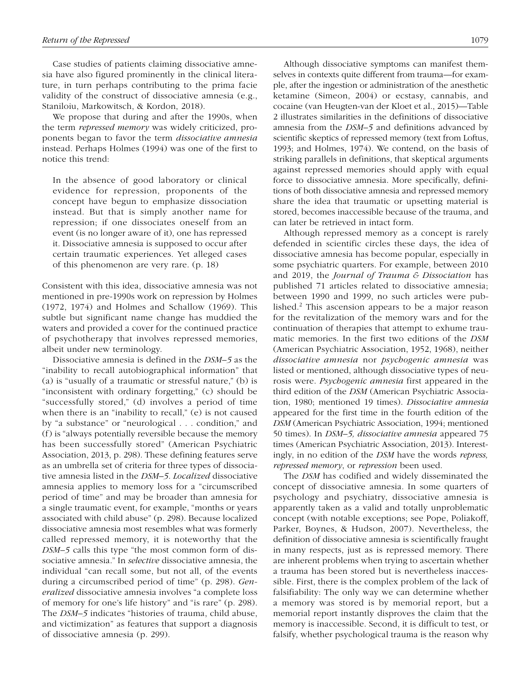Case studies of patients claiming dissociative amnesia have also figured prominently in the clinical literature, in turn perhaps contributing to the prima facie validity of the construct of dissociative amnesia (e.g., Staniloiu, Markowitsch, & Kordon, 2018).

We propose that during and after the 1990s, when the term *repressed memory* was widely criticized, proponents began to favor the term *dissociative amnesia* instead. Perhaps Holmes (1994) was one of the first to notice this trend:

In the absence of good laboratory or clinical evidence for repression, proponents of the concept have begun to emphasize dissociation instead. But that is simply another name for repression; if one dissociates oneself from an event (is no longer aware of it), one has repressed it. Dissociative amnesia is supposed to occur after certain traumatic experiences. Yet alleged cases of this phenomenon are very rare. (p. 18)

Consistent with this idea, dissociative amnesia was not mentioned in pre-1990s work on repression by Holmes (1972, 1974) and Holmes and Schallow (1969). This subtle but significant name change has muddied the waters and provided a cover for the continued practice of psychotherapy that involves repressed memories, albeit under new terminology.

Dissociative amnesia is defined in the *DSM–5* as the "inability to recall autobiographical information" that (a) is "usually of a traumatic or stressful nature," (b) is "inconsistent with ordinary forgetting," (c) should be "successfully stored," (d) involves a period of time when there is an "inability to recall," (e) is not caused by "a substance" or "neurological . . . condition," and (f) is "always potentially reversible because the memory has been successfully stored" (American Psychiatric Association, 2013, p. 298). These defining features serve as an umbrella set of criteria for three types of dissociative amnesia listed in the *DSM–5. Localized* dissociative amnesia applies to memory loss for a "circumscribed period of time" and may be broader than amnesia for a single traumatic event, for example, "months or years associated with child abuse" (p. 298). Because localized dissociative amnesia most resembles what was formerly called repressed memory, it is noteworthy that the *DSM–5* calls this type "the most common form of dissociative amnesia." In *selective* dissociative amnesia, the individual "can recall some, but not all, of the events during a circumscribed period of time" (p. 298). *Generalized* dissociative amnesia involves "a complete loss of memory for one's life history" and "is rare" (p. 298). The *DSM–5* indicates "histories of trauma, child abuse, and victimization" as features that support a diagnosis of dissociative amnesia (p. 299).

Although dissociative symptoms can manifest themselves in contexts quite different from trauma—for example, after the ingestion or administration of the anesthetic ketamine (Simeon, 2004) or ecstasy, cannabis, and cocaine (van Heugten-van der Kloet et al., 2015)—Table 2 illustrates similarities in the definitions of dissociative amnesia from the *DSM–5* and definitions advanced by scientific skeptics of repressed memory (text from Loftus, 1993; and Holmes, 1974). We contend, on the basis of striking parallels in definitions, that skeptical arguments against repressed memories should apply with equal force to dissociative amnesia. More specifically, definitions of both dissociative amnesia and repressed memory share the idea that traumatic or upsetting material is stored, becomes inaccessible because of the trauma, and can later be retrieved in intact form.

Although repressed memory as a concept is rarely defended in scientific circles these days, the idea of dissociative amnesia has become popular, especially in some psychiatric quarters. For example, between 2010 and 2019, the *Journal of Trauma & Dissociation* has published 71 articles related to dissociative amnesia; between 1990 and 1999, no such articles were published.<sup>2</sup> This ascension appears to be a major reason for the revitalization of the memory wars and for the continuation of therapies that attempt to exhume traumatic memories. In the first two editions of the *DSM* (American Psychiatric Association, 1952, 1968), neither *dissociative amnesia* nor *psychogenic amnesia* was listed or mentioned, although dissociative types of neurosis were. *Psychogenic amnesia* first appeared in the third edition of the *DSM* (American Psychiatric Association, 1980; mentioned 19 times). *Dissociative amnesia* appeared for the first time in the fourth edition of the *DSM* (American Psychiatric Association, 1994; mentioned 50 times). In *DSM–5, dissociative amnesia* appeared 75 times (American Psychiatric Association, 2013). Interestingly, in no edition of the *DSM* have the words *repress, repressed memory*, or *repression* been used.

The *DSM* has codified and widely disseminated the concept of dissociative amnesia. In some quarters of psychology and psychiatry, dissociative amnesia is apparently taken as a valid and totally unproblematic concept (with notable exceptions; see Pope, Poliakoff, Parker, Boynes, & Hudson, 2007). Nevertheless, the definition of dissociative amnesia is scientifically fraught in many respects, just as is repressed memory. There are inherent problems when trying to ascertain whether a trauma has been stored but is nevertheless inaccessible. First, there is the complex problem of the lack of falsifiability: The only way we can determine whether a memory was stored is by memorial report, but a memorial report instantly disproves the claim that the memory is inaccessible. Second, it is difficult to test, or falsify, whether psychological trauma is the reason why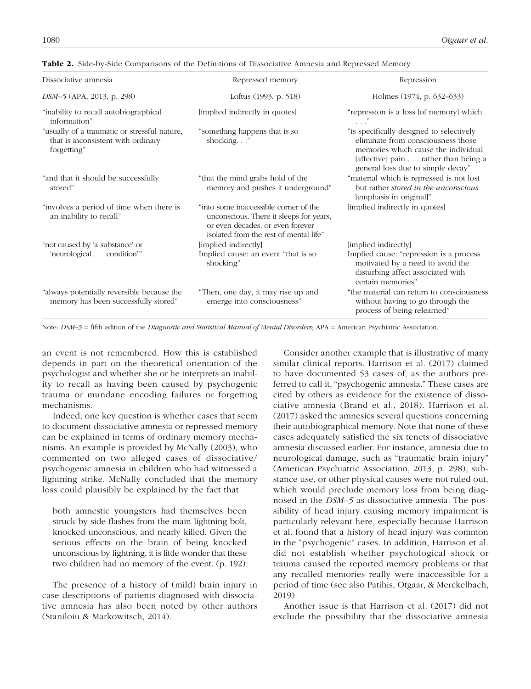| Dissociative amnesia                                                                              | Repressed memory                                                                                                                                               | Repression                                                                                                                                                                                         |
|---------------------------------------------------------------------------------------------------|----------------------------------------------------------------------------------------------------------------------------------------------------------------|----------------------------------------------------------------------------------------------------------------------------------------------------------------------------------------------------|
| DSM-5 (APA, 2013, p. 298)                                                                         | Loftus (1993, p. 518)                                                                                                                                          | Holmes (1974, p. 632–633)                                                                                                                                                                          |
| "inability to recall autobiographical<br>information"                                             | [implied indirectly in quotes]                                                                                                                                 | "repression is a loss [of memory] which                                                                                                                                                            |
| "usually of a traumatic or stressful nature,<br>that is inconsistent with ordinary<br>forgetting" | "something happens that is so<br>shocking"                                                                                                                     | "is specifically designed to selectively<br>eliminate from consciousness those<br>memories which cause the individual<br>[affective] pain rather than being a<br>general loss due to simple decay" |
| "and that it should be successfully<br>stored"                                                    | "that the mind grabs hold of the<br>memory and pushes it underground"                                                                                          | "material which is repressed is not lost<br>but rather <i>stored in the unconscious</i><br>[emphasis in original]"                                                                                 |
| "involves a period of time when there is<br>an inability to recall"                               | "into some inaccessible corner of the<br>unconscious. There it sleeps for years,<br>or even decades, or even forever<br>isolated from the rest of mental life" | [implied indirectly in quotes]                                                                                                                                                                     |
| "not caused by 'a substance' or                                                                   | [implied indirectly]                                                                                                                                           | [implied indirectly]                                                                                                                                                                               |
| 'neurological condition'"                                                                         | Implied cause: an event "that is so<br>shocking"                                                                                                               | Implied cause: "repression is a process<br>motivated by a need to avoid the<br>disturbing affect associated with<br>certain memories"                                                              |
| "always potentially reversible because the<br>memory has been successfully stored"                | "Then, one day, it may rise up and<br>emerge into consciousness"                                                                                               | "the material can return to consciousness<br>without having to go through the<br>process of being relearned"                                                                                       |

| <b>Table 2.</b> Side-by-Side Comparisons of the Definitions of Dissociative Amnesia and Repressed Memory |  |
|----------------------------------------------------------------------------------------------------------|--|
|----------------------------------------------------------------------------------------------------------|--|

Note: *DSM–5* = fifth edition of the *Diagnostic and Statistical Manual of Mental Disorders*; APA = American Psychiatric Association.

an event is not remembered. How this is established depends in part on the theoretical orientation of the psychologist and whether she or he interprets an inability to recall as having been caused by psychogenic trauma or mundane encoding failures or forgetting mechanisms.

Indeed, one key question is whether cases that seem to document dissociative amnesia or repressed memory can be explained in terms of ordinary memory mechanisms. An example is provided by McNally (2003), who commented on two alleged cases of dissociative/ psychogenic amnesia in children who had witnessed a lightning strike. McNally concluded that the memory loss could plausibly be explained by the fact that

both amnestic youngsters had themselves been struck by side flashes from the main lightning bolt, knocked unconscious, and nearly killed. Given the serious effects on the brain of being knocked unconscious by lightning, it is little wonder that these two children had no memory of the event. (p. 192)

The presence of a history of (mild) brain injury in case descriptions of patients diagnosed with dissociative amnesia has also been noted by other authors (Staniloiu & Markowitsch, 2014).

Consider another example that is illustrative of many similar clinical reports. Harrison et al. (2017) claimed to have documented 53 cases of, as the authors preferred to call it, "psychogenic amnesia." These cases are cited by others as evidence for the existence of dissociative amnesia (Brand et al., 2018). Harrison et al. (2017) asked the amnesics several questions concerning their autobiographical memory. Note that none of these cases adequately satisfied the six tenets of dissociative amnesia discussed earlier. For instance, amnesia due to neurological damage, such as "traumatic brain injury" (American Psychiatric Association, 2013, p. 298), substance use, or other physical causes were not ruled out, which would preclude memory loss from being diagnosed in the *DSM–5* as dissociative amnesia. The possibility of head injury causing memory impairment is particularly relevant here, especially because Harrison et al. found that a history of head injury was common in the "psychogenic" cases. In addition, Harrison et al. did not establish whether psychological shock or trauma caused the reported memory problems or that any recalled memories really were inaccessible for a period of time (see also Patihis, Otgaar, & Merckelbach, 2019).

Another issue is that Harrison et al. (2017) did not exclude the possibility that the dissociative amnesia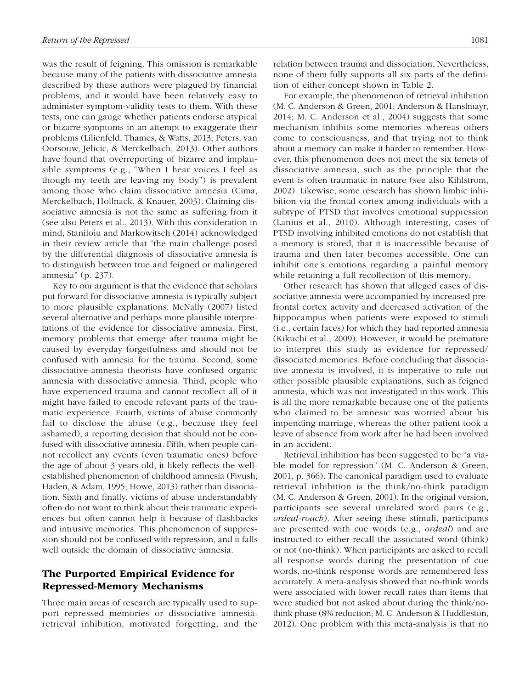was the result of feigning. This omission is remarkable because many of the patients with dissociative amnesia described by these authors were plagued by financial problems, and it would have been relatively easy to administer symptom-validity tests to them. With these tests, one can gauge whether patients endorse atypical or bizarre symptoms in an attempt to exaggerate their problems (Lilienfeld, Thames, & Watts, 2013; Peters, van Oorsouw, Jelicic, & Merckelbach, 2013). Other authors have found that overreporting of bizarre and implausible symptoms (e.g., "When I hear voices I feel as though my teeth are leaving my body") is prevalent among those who claim dissociative amnesia (Cima, Merckelbach, Hollnack, & Knauer, 2003). Claiming dissociative amnesia is not the same as suffering from it (see also Peters et al., 2013). With this consideration in mind, Staniloiu and Markowitsch (2014) acknowledged in their review article that "the main challenge posed by the differential diagnosis of dissociative amnesia is to distinguish between true and feigned or malingered amnesia" (p. 237).

Key to our argument is that the evidence that scholars put forward for dissociative amnesia is typically subject to more plausible explanations. McNally (2007) listed several alternative and perhaps more plausible interpretations of the evidence for dissociative amnesia. First, memory problems that emerge after trauma might be caused by everyday forgetfulness and should not be confused with amnesia for the trauma. Second, some dissociative-amnesia theorists have confused organic amnesia with dissociative amnesia. Third, people who have experienced trauma and cannot recollect all of it might have failed to encode relevant parts of the traumatic experience. Fourth, victims of abuse commonly fail to disclose the abuse (e.g., because they feel ashamed), a reporting decision that should not be confused with dissociative amnesia. Fifth, when people cannot recollect any events (even traumatic ones) before the age of about 3 years old, it likely reflects the wellestablished phenomenon of childhood amnesia (Fivush, Haden, & Adam, 1995; Howe, 2013) rather than dissociation. Sixth and finally, victims of abuse understandably often do not want to think about their traumatic experiences but often cannot help it because of flashbacks and intrusive memories. This phenomenon of suppression should not be confused with repression, and it falls well outside the domain of dissociative amnesia.

## The Purported Empirical Evidence for Repressed-Memory Mechanisms

Three main areas of research are typically used to support repressed memories or dissociative amnesia: retrieval inhibition, motivated forgetting, and the relation between trauma and dissociation. Nevertheless, none of them fully supports all six parts of the definition of either concept shown in Table 2.

For example, the phenomenon of retrieval inhibition (M. C. Anderson & Green, 2001; Anderson & Hanslmayr, 2014; M. C. Anderson et al., 2004) suggests that some mechanism inhibits some memories whereas others come to consciousness, and that trying not to think about a memory can make it harder to remember. However, this phenomenon does not meet the six tenets of dissociative amnesia, such as the principle that the event is often traumatic in nature (see also Kihlstrom, 2002). Likewise, some research has shown limbic inhibition via the frontal cortex among individuals with a subtype of PTSD that involves emotional suppression (Lanius et al., 2010). Although interesting, cases of PTSD involving inhibited emotions do not establish that a memory is stored, that it is inaccessible because of trauma and then later becomes accessible. One can inhibit one's emotions regarding a painful memory while retaining a full recollection of this memory.

Other research has shown that alleged cases of dissociative amnesia were accompanied by increased prefrontal cortex activity and decreased activation of the hippocampus when patients were exposed to stimuli (i.e., certain faces) for which they had reported amnesia (Kikuchi et al., 2009). However, it would be premature to interpret this study as evidence for repressed/ dissociated memories. Before concluding that dissociative amnesia is involved, it is imperative to rule out other possible plausible explanations, such as feigned amnesia, which was not investigated in this work. This is all the more remarkable because one of the patients who claimed to be amnesic was worried about his impending marriage, whereas the other patient took a leave of absence from work after he had been involved in an accident.

Retrieval inhibition has been suggested to be "a viable model for repression" (M. C. Anderson & Green, 2001, p. 366). The canonical paradigm used to evaluate retrieval inhibition is the think/no-think paradigm (M. C. Anderson & Green, 2001). In the original version, participants see several unrelated word pairs (e.g., *ordeal-roach*). After seeing these stimuli, participants are presented with cue words (e.g., *ordeal*) and are instructed to either recall the associated word (think) or not (no-think). When participants are asked to recall all response words during the presentation of cue words, no-think response words are remembered less accurately. A meta-analysis showed that no-think words were associated with lower recall rates than items that were studied but not asked about during the think/nothink phase (8% reduction; M. C. Anderson & Huddleston, 2012). One problem with this meta-analysis is that no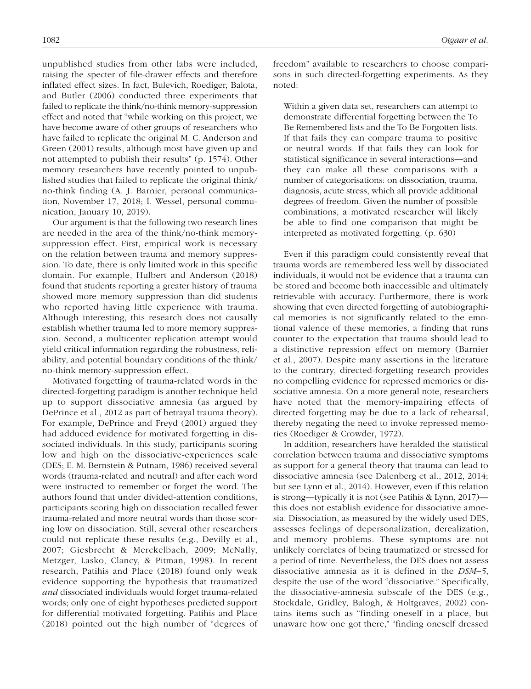unpublished studies from other labs were included, raising the specter of file-drawer effects and therefore inflated effect sizes. In fact, Bulevich, Roediger, Balota, and Butler (2006) conducted three experiments that failed to replicate the think/no-think memory-suppression effect and noted that "while working on this project, we have become aware of other groups of researchers who have failed to replicate the original M. C. Anderson and Green (2001) results, although most have given up and not attempted to publish their results" (p. 1574). Other memory researchers have recently pointed to unpublished studies that failed to replicate the original think/ no-think finding (A. J. Barnier, personal communication, November 17, 2018; I. Wessel, personal communication, January 10, 2019).

Our argument is that the following two research lines are needed in the area of the think/no-think memorysuppression effect. First, empirical work is necessary on the relation between trauma and memory suppression. To date, there is only limited work in this specific domain. For example, Hulbert and Anderson (2018) found that students reporting a greater history of trauma showed more memory suppression than did students who reported having little experience with trauma. Although interesting, this research does not causally establish whether trauma led to more memory suppression. Second, a multicenter replication attempt would yield critical information regarding the robustness, reliability, and potential boundary conditions of the think/ no-think memory-suppression effect.

Motivated forgetting of trauma-related words in the directed-forgetting paradigm is another technique held up to support dissociative amnesia (as argued by DePrince et al., 2012 as part of betrayal trauma theory). For example, DePrince and Freyd (2001) argued they had adduced evidence for motivated forgetting in dissociated individuals. In this study, participants scoring low and high on the dissociative-experiences scale (DES; E. M. Bernstein & Putnam, 1986) received several words (trauma-related and neutral) and after each word were instructed to remember or forget the word. The authors found that under divided-attention conditions, participants scoring high on dissociation recalled fewer trauma-related and more neutral words than those scoring low on dissociation. Still, several other researchers could not replicate these results (e.g., Devilly et al., 2007; Giesbrecht & Merckelbach, 2009; McNally, Metzger, Lasko, Clancy, & Pitman, 1998). In recent research, Patihis and Place (2018) found only weak evidence supporting the hypothesis that traumatized *and* dissociated individuals would forget trauma-related words; only one of eight hypotheses predicted support for differential motivated forgetting. Patihis and Place (2018) pointed out the high number of "degrees of

1082 *Otgaar et al.*

freedom" available to researchers to choose comparisons in such directed-forgetting experiments. As they noted:

Within a given data set, researchers can attempt to demonstrate differential forgetting between the To Be Remembered lists and the To Be Forgotten lists. If that fails they can compare trauma to positive or neutral words. If that fails they can look for statistical significance in several interactions—and they can make all these comparisons with a number of categorisations: on dissociation, trauma, diagnosis, acute stress, which all provide additional degrees of freedom. Given the number of possible combinations, a motivated researcher will likely be able to find one comparison that might be interpreted as motivated forgetting. (p. 630)

Even if this paradigm could consistently reveal that trauma words are remembered less well by dissociated individuals, it would not be evidence that a trauma can be stored and become both inaccessible and ultimately retrievable with accuracy. Furthermore, there is work showing that even directed forgetting of autobiographical memories is not significantly related to the emotional valence of these memories, a finding that runs counter to the expectation that trauma should lead to a distinctive repression effect on memory (Barnier et al., 2007). Despite many assertions in the literature to the contrary, directed-forgetting research provides no compelling evidence for repressed memories or dissociative amnesia. On a more general note, researchers have noted that the memory-impairing effects of directed forgetting may be due to a lack of rehearsal, thereby negating the need to invoke repressed memories (Roediger & Crowder, 1972).

In addition, researchers have heralded the statistical correlation between trauma and dissociative symptoms as support for a general theory that trauma can lead to dissociative amnesia (see Dalenberg et al., 2012, 2014; but see Lynn et al., 2014). However, even if this relation is strong—typically it is not (see Patihis & Lynn, 2017) this does not establish evidence for dissociative amnesia. Dissociation, as measured by the widely used DES, assesses feelings of depersonalization, derealization, and memory problems. These symptoms are not unlikely correlates of being traumatized or stressed for a period of time. Nevertheless, the DES does not assess dissociative amnesia as it is defined in the *DSM–5*, despite the use of the word "dissociative." Specifically, the dissociative-amnesia subscale of the DES (e.g., Stockdale, Gridley, Balogh, & Holtgraves, 2002) contains items such as "finding oneself in a place, but unaware how one got there," "finding oneself dressed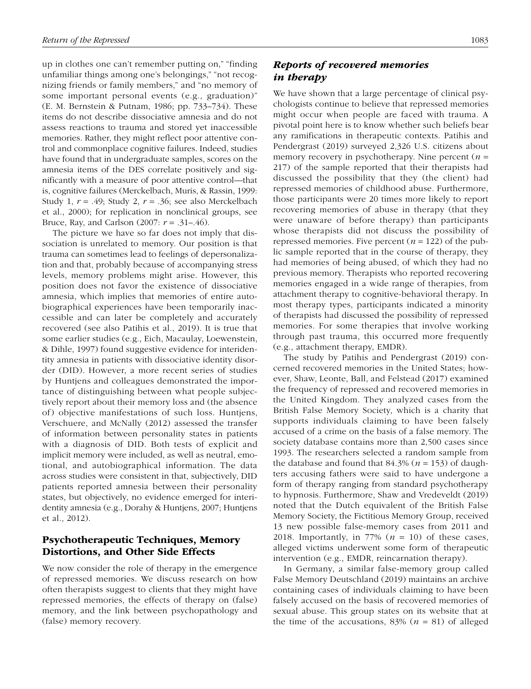up in clothes one can't remember putting on," "finding unfamiliar things among one's belongings," "not recognizing friends or family members," and "no memory of some important personal events (e.g., graduation)" (E. M. Bernstein & Putnam, 1986; pp. 733–734). These items do not describe dissociative amnesia and do not assess reactions to trauma and stored yet inaccessible memories. Rather, they might reflect poor attentive control and commonplace cognitive failures. Indeed, studies have found that in undergraduate samples, scores on the amnesia items of the DES correlate positively and significantly with a measure of poor attentive control—that is, cognitive failures (Merckelbach, Muris, & Rassin, 1999: Study 1, *r* = .49; Study 2, *r* = .36; see also Merckelbach et al., 2000); for replication in nonclinical groups, see Bruce, Ray, and Carlson (2007: *r* = .31–.46).

The picture we have so far does not imply that dissociation is unrelated to memory. Our position is that trauma can sometimes lead to feelings of depersonalization and that, probably because of accompanying stress levels, memory problems might arise. However, this position does not favor the existence of dissociative amnesia, which implies that memories of entire autobiographical experiences have been temporarily inaccessible and can later be completely and accurately recovered (see also Patihis et al., 2019). It is true that some earlier studies (e.g., Eich, Macaulay, Loewenstein, & Dihle, 1997) found suggestive evidence for interidentity amnesia in patients with dissociative identity disorder (DID). However, a more recent series of studies by Huntjens and colleagues demonstrated the importance of distinguishing between what people subjectively report about their memory loss and (the absence of) objective manifestations of such loss. Huntjens, Verschuere, and McNally (2012) assessed the transfer of information between personality states in patients with a diagnosis of DID. Both tests of explicit and implicit memory were included, as well as neutral, emotional, and autobiographical information. The data across studies were consistent in that, subjectively, DID patients reported amnesia between their personality states, but objectively, no evidence emerged for interidentity amnesia (e.g., Dorahy & Huntjens, 2007; Huntjens et al., 2012).

## Psychotherapeutic Techniques, Memory Distortions, and Other Side Effects

We now consider the role of therapy in the emergence of repressed memories. We discuss research on how often therapists suggest to clients that they might have repressed memories, the effects of therapy on (false) memory, and the link between psychopathology and (false) memory recovery.

## *Reports of recovered memories in therapy*

We have shown that a large percentage of clinical psychologists continue to believe that repressed memories might occur when people are faced with trauma. A pivotal point here is to know whether such beliefs bear any ramifications in therapeutic contexts. Patihis and Pendergrast (2019) surveyed 2,326 U.S. citizens about memory recovery in psychotherapy. Nine percent (*n* = 217) of the sample reported that their therapists had discussed the possibility that they (the client) had repressed memories of childhood abuse. Furthermore, those participants were 20 times more likely to report recovering memories of abuse in therapy (that they were unaware of before therapy) than participants whose therapists did not discuss the possibility of repressed memories. Five percent (*n* = 122) of the public sample reported that in the course of therapy, they had memories of being abused, of which they had no previous memory. Therapists who reported recovering memories engaged in a wide range of therapies, from attachment therapy to cognitive-behavioral therapy. In most therapy types, participants indicated a minority of therapists had discussed the possibility of repressed memories. For some therapies that involve working through past trauma, this occurred more frequently (e.g., attachment therapy, EMDR).

The study by Patihis and Pendergrast (2019) concerned recovered memories in the United States; however, Shaw, Leonte, Ball, and Felstead (2017) examined the frequency of repressed and recovered memories in the United Kingdom. They analyzed cases from the British False Memory Society, which is a charity that supports individuals claiming to have been falsely accused of a crime on the basis of a false memory. The society database contains more than 2,500 cases since 1993. The researchers selected a random sample from the database and found that  $84.3\%$  ( $n = 153$ ) of daughters accusing fathers were said to have undergone a form of therapy ranging from standard psychotherapy to hypnosis. Furthermore, Shaw and Vredeveldt (2019) noted that the Dutch equivalent of the British False Memory Society, the Fictitious Memory Group, received 13 new possible false-memory cases from 2011 and 2018. Importantly, in 77%  $(n = 10)$  of these cases, alleged victims underwent some form of therapeutic intervention (e.g., EMDR, reincarnation therapy).

In Germany, a similar false-memory group called False Memory Deutschland (2019) maintains an archive containing cases of individuals claiming to have been falsely accused on the basis of recovered memories of sexual abuse. This group states on its website that at the time of the accusations,  $83\%$  ( $n = 81$ ) of alleged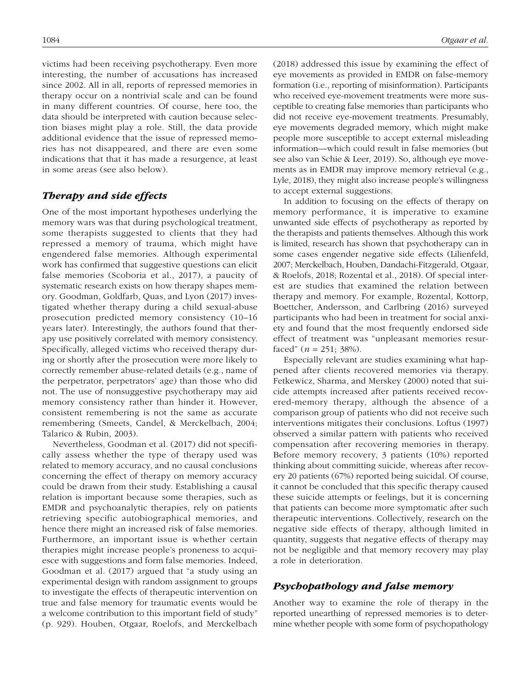victims had been receiving psychotherapy. Even more interesting, the number of accusations has increased since 2002. All in all, reports of repressed memories in therapy occur on a nontrivial scale and can be found in many different countries. Of course, here too, the data should be interpreted with caution because selection biases might play a role. Still, the data provide additional evidence that the issue of repressed memories has not disappeared, and there are even some indications that that it has made a resurgence, at least in some areas (see also below).

#### *Therapy and side effects*

One of the most important hypotheses underlying the memory wars was that during psychological treatment, some therapists suggested to clients that they had repressed a memory of trauma, which might have engendered false memories. Although experimental work has confirmed that suggestive questions can elicit false memories (Scoboria et al., 2017), a paucity of systematic research exists on how therapy shapes memory. Goodman, Goldfarb, Quas, and Lyon (2017) investigated whether therapy during a child sexual-abuse prosecution predicted memory consistency (10–16 years later). Interestingly, the authors found that therapy use positively correlated with memory consistency. Specifically, alleged victims who received therapy during or shortly after the prosecution were more likely to correctly remember abuse-related details (e.g., name of the perpetrator, perpetrators' age) than those who did not. The use of nonsuggestive psychotherapy may aid memory consistency rather than hinder it. However, consistent remembering is not the same as accurate remembering (Smeets, Candel, & Merckelbach, 2004; Talarico & Rubin, 2003).

Nevertheless, Goodman et al. (2017) did not specifically assess whether the type of therapy used was related to memory accuracy, and no causal conclusions concerning the effect of therapy on memory accuracy could be drawn from their study. Establishing a causal relation is important because some therapies, such as EMDR and psychoanalytic therapies, rely on patients retrieving specific autobiographical memories, and hence there might an increased risk of false memories. Furthermore, an important issue is whether certain therapies might increase people's proneness to acquiesce with suggestions and form false memories. Indeed, Goodman et al. (2017) argued that "a study using an experimental design with random assignment to groups to investigate the effects of therapeutic intervention on true and false memory for traumatic events would be a welcome contribution to this important field of study" (p. 929). Houben, Otgaar, Roelofs, and Merckelbach (2018) addressed this issue by examining the effect of eye movements as provided in EMDR on false-memory formation (i.e., reporting of misinformation). Participants who received eye-movement treatments were more susceptible to creating false memories than participants who did not receive eye-movement treatments. Presumably, eye movements degraded memory, which might make people more susceptible to accept external misleading information—which could result in false memories (but see also van Schie & Leer, 2019). So, although eye movements as in EMDR may improve memory retrieval (e.g., Lyle, 2018), they might also increase people's willingness to accept external suggestions.

In addition to focusing on the effects of therapy on memory performance, it is imperative to examine unwanted side effects of psychotherapy as reported by the therapists and patients themselves. Although this work is limited, research has shown that psychotherapy can in some cases engender negative side effects (Lilienfeld, 2007; Merckelbach, Houben, Dandachi-Fitzgerald, Otgaar, & Roelofs, 2018; Rozental et al., 2018). Of special interest are studies that examined the relation between therapy and memory. For example, Rozental, Kottorp, Boettcher, Andersson, and Carlbring (2016) surveyed participants who had been in treatment for social anxiety and found that the most frequently endorsed side effect of treatment was "unpleasant memories resurfaced"  $(n = 251; 38\%)$ .

Especially relevant are studies examining what happened after clients recovered memories via therapy. Fetkewicz, Sharma, and Merskey (2000) noted that suicide attempts increased after patients received recovered-memory therapy, although the absence of a comparison group of patients who did not receive such interventions mitigates their conclusions. Loftus (1997) observed a similar pattern with patients who received compensation after recovering memories in therapy. Before memory recovery, 3 patients (10%) reported thinking about committing suicide, whereas after recovery 20 patients (67%) reported being suicidal. Of course, it cannot be concluded that this specific therapy caused these suicide attempts or feelings, but it is concerning that patients can become more symptomatic after such therapeutic interventions. Collectively, research on the negative side effects of therapy, although limited in quantity, suggests that negative effects of therapy may not be negligible and that memory recovery may play a role in deterioration.

#### *Psychopathology and false memory*

Another way to examine the role of therapy in the reported unearthing of repressed memories is to determine whether people with some form of psychopathology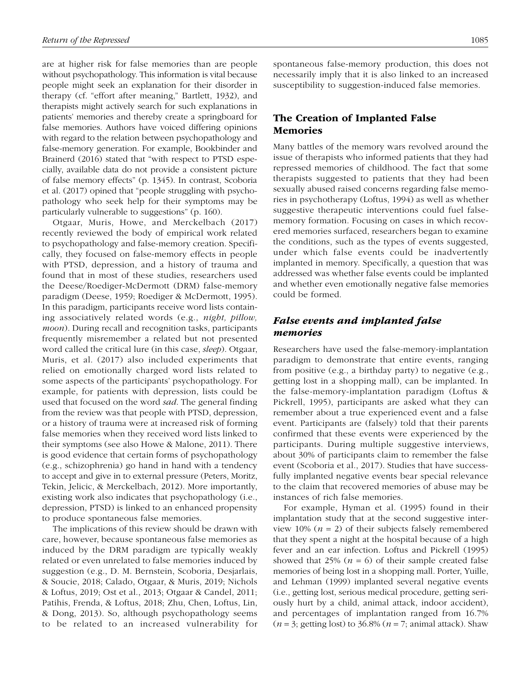are at higher risk for false memories than are people without psychopathology. This information is vital because people might seek an explanation for their disorder in therapy (cf. "effort after meaning," Bartlett, 1932), and therapists might actively search for such explanations in patients' memories and thereby create a springboard for false memories. Authors have voiced differing opinions with regard to the relation between psychopathology and false-memory generation. For example, Bookbinder and Brainerd (2016) stated that "with respect to PTSD especially, available data do not provide a consistent picture of false memory effects" (p. 1345). In contrast, Scoboria et al. (2017) opined that "people struggling with psychopathology who seek help for their symptoms may be particularly vulnerable to suggestions" (p. 160).

Otgaar, Muris, Howe, and Merckelbach (2017) recently reviewed the body of empirical work related to psychopathology and false-memory creation. Specifically, they focused on false-memory effects in people with PTSD, depression, and a history of trauma and found that in most of these studies, researchers used the Deese/Roediger-McDermott (DRM) false-memory paradigm (Deese, 1959; Roediger & McDermott, 1995). In this paradigm, participants receive word lists containing associatively related words (e.g., *night, pillow, moon*). During recall and recognition tasks, participants frequently misremember a related but not presented word called the critical lure (in this case, *sleep*). Otgaar, Muris, et al. (2017) also included experiments that relied on emotionally charged word lists related to some aspects of the participants' psychopathology. For example, for patients with depression, lists could be used that focused on the word *sad*. The general finding from the review was that people with PTSD, depression, or a history of trauma were at increased risk of forming false memories when they received word lists linked to their symptoms (see also Howe & Malone, 2011). There is good evidence that certain forms of psychopathology (e.g., schizophrenia) go hand in hand with a tendency to accept and give in to external pressure (Peters, Moritz, Tekin, Jelicic, & Merckelbach, 2012). More importantly, existing work also indicates that psychopathology (i.e., depression, PTSD) is linked to an enhanced propensity to produce spontaneous false memories.

The implications of this review should be drawn with care, however, because spontaneous false memories as induced by the DRM paradigm are typically weakly related or even unrelated to false memories induced by suggestion (e.g., D. M. Bernstein, Scoboria, Desjarlais, & Soucie, 2018; Calado, Otgaar, & Muris, 2019; Nichols & Loftus, 2019; Ost et al., 2013; Otgaar & Candel, 2011; Patihis, Frenda, & Loftus, 2018; Zhu, Chen, Loftus, Lin, & Dong, 2013). So, although psychopathology seems to be related to an increased vulnerability for spontaneous false-memory production, this does not necessarily imply that it is also linked to an increased susceptibility to suggestion-induced false memories.

## The Creation of Implanted False Memories

Many battles of the memory wars revolved around the issue of therapists who informed patients that they had repressed memories of childhood. The fact that some therapists suggested to patients that they had been sexually abused raised concerns regarding false memories in psychotherapy (Loftus, 1994) as well as whether suggestive therapeutic interventions could fuel falsememory formation. Focusing on cases in which recovered memories surfaced, researchers began to examine the conditions, such as the types of events suggested, under which false events could be inadvertently implanted in memory. Specifically, a question that was addressed was whether false events could be implanted and whether even emotionally negative false memories could be formed.

## *False events and implanted false memories*

Researchers have used the false-memory-implantation paradigm to demonstrate that entire events, ranging from positive (e.g., a birthday party) to negative (e.g., getting lost in a shopping mall), can be implanted. In the false-memory-implantation paradigm (Loftus & Pickrell, 1995), participants are asked what they can remember about a true experienced event and a false event. Participants are (falsely) told that their parents confirmed that these events were experienced by the participants. During multiple suggestive interviews, about 30% of participants claim to remember the false event (Scoboria et al., 2017). Studies that have successfully implanted negative events bear special relevance to the claim that recovered memories of abuse may be instances of rich false memories.

For example, Hyman et al. (1995) found in their implantation study that at the second suggestive interview 10%  $(n = 2)$  of their subjects falsely remembered that they spent a night at the hospital because of a high fever and an ear infection. Loftus and Pickrell (1995) showed that 25%  $(n = 6)$  of their sample created false memories of being lost in a shopping mall. Porter, Yuille, and Lehman (1999) implanted several negative events (i.e., getting lost, serious medical procedure, getting seriously hurt by a child, animal attack, indoor accident), and percentages of implantation ranged from 16.7% (*n* = 3; getting lost) to 36.8% (*n* = 7; animal attack). Shaw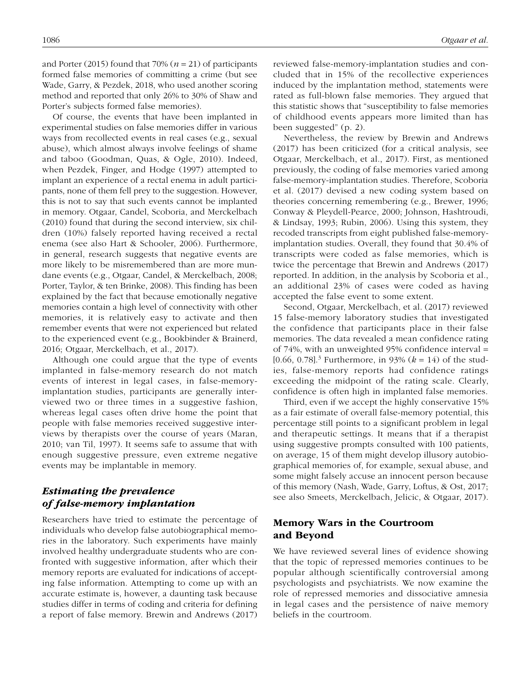and Porter (2015) found that  $70\%$  ( $n = 21$ ) of participants formed false memories of committing a crime (but see Wade, Garry, & Pezdek, 2018, who used another scoring method and reported that only 26% to 30% of Shaw and Porter's subjects formed false memories).

Of course, the events that have been implanted in experimental studies on false memories differ in various ways from recollected events in real cases (e.g., sexual abuse), which almost always involve feelings of shame and taboo (Goodman, Quas, & Ogle, 2010). Indeed, when Pezdek, Finger, and Hodge (1997) attempted to implant an experience of a rectal enema in adult participants, none of them fell prey to the suggestion. However, this is not to say that such events cannot be implanted in memory. Otgaar, Candel, Scoboria, and Merckelbach (2010) found that during the second interview, six children (10%) falsely reported having received a rectal enema (see also Hart & Schooler, 2006). Furthermore, in general, research suggests that negative events are more likely to be misremembered than are more mundane events (e.g., Otgaar, Candel, & Merckelbach, 2008; Porter, Taylor, & ten Brinke, 2008). This finding has been explained by the fact that because emotionally negative memories contain a high level of connectivity with other memories, it is relatively easy to activate and then remember events that were not experienced but related to the experienced event (e.g., Bookbinder & Brainerd, 2016; Otgaar, Merckelbach, et al., 2017).

Although one could argue that the type of events implanted in false-memory research do not match events of interest in legal cases, in false-memoryimplantation studies, participants are generally interviewed two or three times in a suggestive fashion, whereas legal cases often drive home the point that people with false memories received suggestive interviews by therapists over the course of years (Maran, 2010; van Til, 1997). It seems safe to assume that with enough suggestive pressure, even extreme negative events may be implantable in memory.

## *Estimating the prevalence of false-memory implantation*

Researchers have tried to estimate the percentage of individuals who develop false autobiographical memories in the laboratory. Such experiments have mainly involved healthy undergraduate students who are confronted with suggestive information, after which their memory reports are evaluated for indications of accepting false information. Attempting to come up with an accurate estimate is, however, a daunting task because studies differ in terms of coding and criteria for defining a report of false memory. Brewin and Andrews (2017) reviewed false-memory-implantation studies and concluded that in 15% of the recollective experiences induced by the implantation method, statements were rated as full-blown false memories. They argued that this statistic shows that "susceptibility to false memories of childhood events appears more limited than has been suggested" (p. 2).

Nevertheless, the review by Brewin and Andrews (2017) has been criticized (for a critical analysis, see Otgaar, Merckelbach, et al., 2017). First, as mentioned previously, the coding of false memories varied among false-memory-implantation studies. Therefore, Scoboria et al. (2017) devised a new coding system based on theories concerning remembering (e.g., Brewer, 1996; Conway & Pleydell-Pearce, 2000; Johnson, Hashtroudi, & Lindsay, 1993; Rubin, 2006). Using this system, they recoded transcripts from eight published false-memoryimplantation studies. Overall, they found that 30.4% of transcripts were coded as false memories, which is twice the percentage that Brewin and Andrews (2017) reported. In addition, in the analysis by Scoboria et al., an additional 23% of cases were coded as having accepted the false event to some extent.

Second, Otgaar, Merckelbach, et al. (2017) reviewed 15 false-memory laboratory studies that investigated the confidence that participants place in their false memories. The data revealed a mean confidence rating of 74%, with an unweighted 95% confidence interval = [0.66, 0.78]<sup>3</sup> Furthermore, in 93% ( $k = 14$ ) of the studies, false-memory reports had confidence ratings exceeding the midpoint of the rating scale. Clearly, confidence is often high in implanted false memories.

Third, even if we accept the highly conservative 15% as a fair estimate of overall false-memory potential, this percentage still points to a significant problem in legal and therapeutic settings. It means that if a therapist using suggestive prompts consulted with 100 patients, on average, 15 of them might develop illusory autobiographical memories of, for example, sexual abuse, and some might falsely accuse an innocent person because of this memory (Nash, Wade, Garry, Loftus, & Ost, 2017; see also Smeets, Merckelbach, Jelicic, & Otgaar, 2017).

## Memory Wars in the Courtroom and Beyond

We have reviewed several lines of evidence showing that the topic of repressed memories continues to be popular although scientifically controversial among psychologists and psychiatrists. We now examine the role of repressed memories and dissociative amnesia in legal cases and the persistence of naive memory beliefs in the courtroom.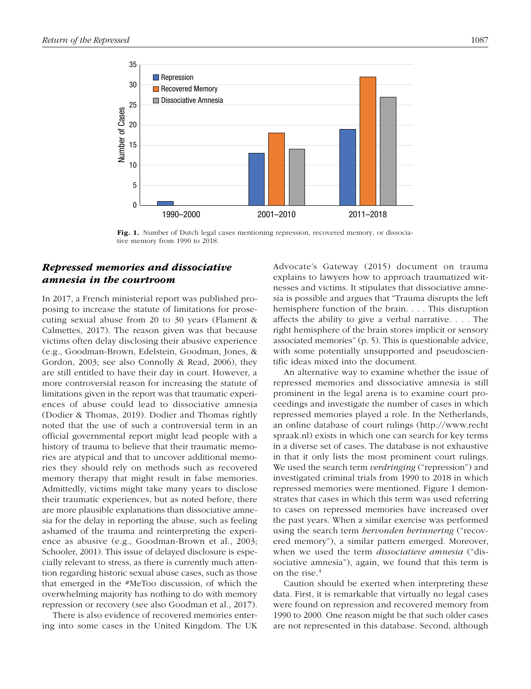

Fig. 1. Number of Dutch legal cases mentioning repression, recovered memory, or dissociative memory from 1990 to 2018.

## *Repressed memories and dissociative amnesia in the courtroom*

In 2017, a French ministerial report was published proposing to increase the statute of limitations for prosecuting sexual abuse from 20 to 30 years (Flament & Calmettes, 2017). The reason given was that because victims often delay disclosing their abusive experience (e.g., Goodman-Brown, Edelstein, Goodman, Jones, & Gordon, 2003; see also Connolly & Read, 2006), they are still entitled to have their day in court. However, a more controversial reason for increasing the statute of limitations given in the report was that traumatic experiences of abuse could lead to dissociative amnesia (Dodier & Thomas, 2019). Dodier and Thomas rightly noted that the use of such a controversial term in an official governmental report might lead people with a history of trauma to believe that their traumatic memories are atypical and that to uncover additional memories they should rely on methods such as recovered memory therapy that might result in false memories. Admittedly, victims might take many years to disclose their traumatic experiences, but as noted before, there are more plausible explanations than dissociative amnesia for the delay in reporting the abuse, such as feeling ashamed of the trauma and reinterpreting the experience as abusive (e.g., Goodman-Brown et al., 2003; Schooler, 2001). This issue of delayed disclosure is especially relevant to stress, as there is currently much attention regarding historic sexual abuse cases, such as those that emerged in the #MeToo discussion, of which the overwhelming majority has nothing to do with memory repression or recovery (see also Goodman et al., 2017).

There is also evidence of recovered memories entering into some cases in the United Kingdom. The UK Advocate's Gateway (2015) document on trauma explains to lawyers how to approach traumatized witnesses and victims. It stipulates that dissociative amnesia is possible and argues that "Trauma disrupts the left hemisphere function of the brain. . . . This disruption affects the ability to give a verbal narrative. . . . The right hemisphere of the brain stores implicit or sensory associated memories" (p. 5). This is questionable advice, with some potentially unsupported and pseudoscientific ideas mixed into the document.

An alternative way to examine whether the issue of repressed memories and dissociative amnesia is still prominent in the legal arena is to examine court proceedings and investigate the number of cases in which repressed memories played a role. In the Netherlands, an online database of court rulings [\(http://www.recht](http://www.rechtspraak.nl) [spraak.nl\)](http://www.rechtspraak.nl) exists in which one can search for key terms in a diverse set of cases. The database is not exhaustive in that it only lists the most prominent court rulings. We used the search term *verdringing* ("repression") and investigated criminal trials from 1990 to 2018 in which repressed memories were mentioned. Figure 1 demonstrates that cases in which this term was used referring to cases on repressed memories have increased over the past years. When a similar exercise was performed using the search term *hervonden herinnering* ("recovered memory"), a similar pattern emerged. Moreover, when we used the term *dissociatieve amnesia* ("dissociative amnesia"), again, we found that this term is on the rise.<sup>4</sup>

Caution should be exerted when interpreting these data. First, it is remarkable that virtually no legal cases were found on repression and recovered memory from 1990 to 2000. One reason might be that such older cases are not represented in this database. Second, although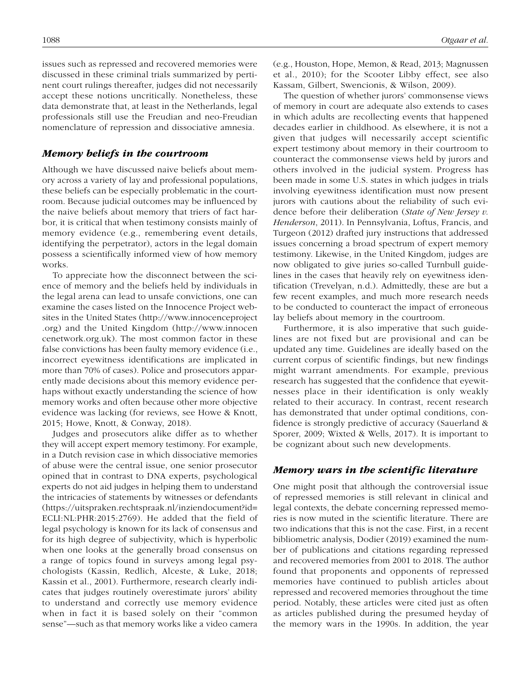issues such as repressed and recovered memories were discussed in these criminal trials summarized by pertinent court rulings thereafter, judges did not necessarily accept these notions uncritically. Nonetheless, these data demonstrate that, at least in the Netherlands, legal professionals still use the Freudian and neo-Freudian nomenclature of repression and dissociative amnesia.

#### *Memory beliefs in the courtroom*

Although we have discussed naive beliefs about memory across a variety of lay and professional populations, these beliefs can be especially problematic in the courtroom. Because judicial outcomes may be influenced by the naive beliefs about memory that triers of fact harbor, it is critical that when testimony consists mainly of memory evidence (e.g., remembering event details, identifying the perpetrator), actors in the legal domain possess a scientifically informed view of how memory works.

To appreciate how the disconnect between the science of memory and the beliefs held by individuals in the legal arena can lead to unsafe convictions, one can examine the cases listed on the Innocence Project websites in the United States ([http://www.innocenceproject](http://www.innocenceproject.org) [.org\)](http://www.innocenceproject.org) and the United Kingdom ([http://www.innocen](http://www.innocencenetwork.org.uk) [cenetwork.org.uk\)](http://www.innocencenetwork.org.uk). The most common factor in these false convictions has been faulty memory evidence (i.e., incorrect eyewitness identifications are implicated in more than 70% of cases). Police and prosecutors apparently made decisions about this memory evidence perhaps without exactly understanding the science of how memory works and often because other more objective evidence was lacking (for reviews, see Howe & Knott, 2015; Howe, Knott, & Conway, 2018).

Judges and prosecutors alike differ as to whether they will accept expert memory testimony. For example, in a Dutch revision case in which dissociative memories of abuse were the central issue, one senior prosecutor opined that in contrast to DNA experts, psychological experts do not aid judges in helping them to understand the intricacies of statements by witnesses or defendants ([https://uitspraken.rechtspraak.nl/inziendocument?id=](https://uitspraken.rechtspraak.nl/inziendocument?id=ECLI:NL:PHR:2015:2769) [ECLI:NL:PHR:2015:2769\)](https://uitspraken.rechtspraak.nl/inziendocument?id=ECLI:NL:PHR:2015:2769). He added that the field of legal psychology is known for its lack of consensus and for its high degree of subjectivity, which is hyperbolic when one looks at the generally broad consensus on a range of topics found in surveys among legal psychologists (Kassin, Redlich, Alceste, & Luke, 2018; Kassin et al., 2001). Furthermore, research clearly indicates that judges routinely overestimate jurors' ability to understand and correctly use memory evidence when in fact it is based solely on their "common sense"—such as that memory works like a video camera

The question of whether jurors' commonsense views of memory in court are adequate also extends to cases in which adults are recollecting events that happened decades earlier in childhood. As elsewhere, it is not a given that judges will necessarily accept scientific expert testimony about memory in their courtroom to counteract the commonsense views held by jurors and others involved in the judicial system. Progress has been made in some U.S. states in which judges in trials involving eyewitness identification must now present jurors with cautions about the reliability of such evidence before their deliberation (*State of New Jersey v. Henderson*, 2011). In Pennsylvania, Loftus, Francis, and Turgeon (2012) drafted jury instructions that addressed issues concerning a broad spectrum of expert memory testimony. Likewise, in the United Kingdom, judges are now obligated to give juries so-called Turnbull guidelines in the cases that heavily rely on eyewitness identification (Trevelyan, n.d.). Admittedly, these are but a few recent examples, and much more research needs to be conducted to counteract the impact of erroneous lay beliefs about memory in the courtroom.

Furthermore, it is also imperative that such guidelines are not fixed but are provisional and can be updated any time. Guidelines are ideally based on the current corpus of scientific findings, but new findings might warrant amendments. For example, previous research has suggested that the confidence that eyewitnesses place in their identification is only weakly related to their accuracy. In contrast, recent research has demonstrated that under optimal conditions, confidence is strongly predictive of accuracy (Sauerland & Sporer, 2009; Wixted & Wells, 2017). It is important to be cognizant about such new developments.

#### *Memory wars in the scientific literature*

One might posit that although the controversial issue of repressed memories is still relevant in clinical and legal contexts, the debate concerning repressed memories is now muted in the scientific literature. There are two indications that this is not the case. First, in a recent bibliometric analysis, Dodier (2019) examined the number of publications and citations regarding repressed and recovered memories from 2001 to 2018. The author found that proponents and opponents of repressed memories have continued to publish articles about repressed and recovered memories throughout the time period. Notably, these articles were cited just as often as articles published during the presumed heyday of the memory wars in the 1990s. In addition, the year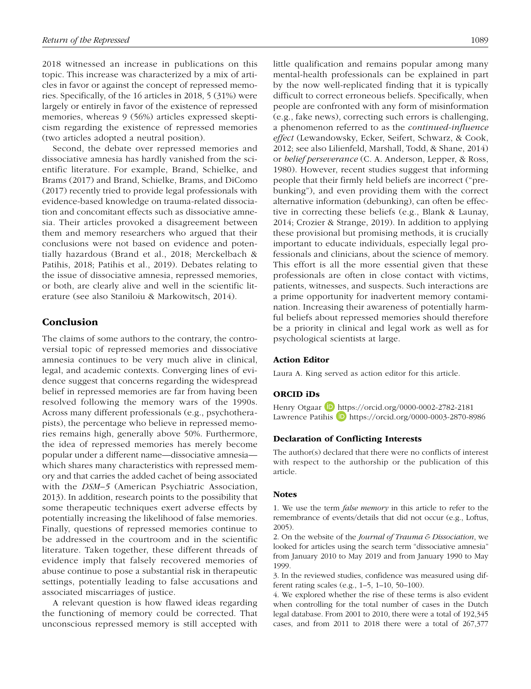2018 witnessed an increase in publications on this topic. This increase was characterized by a mix of articles in favor or against the concept of repressed memories. Specifically, of the 16 articles in 2018, 5 (31%) were largely or entirely in favor of the existence of repressed memories, whereas 9 (56%) articles expressed skepticism regarding the existence of repressed memories (two articles adopted a neutral position).

Second, the debate over repressed memories and dissociative amnesia has hardly vanished from the scientific literature. For example, Brand, Schielke, and Brams (2017) and Brand, Schielke, Brams, and DiComo (2017) recently tried to provide legal professionals with evidence-based knowledge on trauma-related dissociation and concomitant effects such as dissociative amnesia. Their articles provoked a disagreement between them and memory researchers who argued that their conclusions were not based on evidence and potentially hazardous (Brand et al., 2018; Merckelbach & Patihis, 2018; Patihis et al., 2019). Debates relating to the issue of dissociative amnesia, repressed memories, or both, are clearly alive and well in the scientific literature (see also Staniloiu & Markowitsch, 2014).

## Conclusion

The claims of some authors to the contrary, the controversial topic of repressed memories and dissociative amnesia continues to be very much alive in clinical, legal, and academic contexts. Converging lines of evidence suggest that concerns regarding the widespread belief in repressed memories are far from having been resolved following the memory wars of the 1990s. Across many different professionals (e.g., psychotherapists), the percentage who believe in repressed memories remains high, generally above 50%. Furthermore, the idea of repressed memories has merely become popular under a different name—dissociative amnesia which shares many characteristics with repressed memory and that carries the added cachet of being associated with the *DSM–5* (American Psychiatric Association, 2013). In addition, research points to the possibility that some therapeutic techniques exert adverse effects by potentially increasing the likelihood of false memories. Finally, questions of repressed memories continue to be addressed in the courtroom and in the scientific literature. Taken together, these different threads of evidence imply that falsely recovered memories of abuse continue to pose a substantial risk in therapeutic settings, potentially leading to false accusations and associated miscarriages of justice.

A relevant question is how flawed ideas regarding the functioning of memory could be corrected. That unconscious repressed memory is still accepted with little qualification and remains popular among many mental-health professionals can be explained in part by the now well-replicated finding that it is typically difficult to correct erroneous beliefs. Specifically, when people are confronted with any form of misinformation (e.g., fake news), correcting such errors is challenging, a phenomenon referred to as the *continued-influence effect* (Lewandowsky, Ecker, Seifert, Schwarz, & Cook, 2012; see also Lilienfeld, Marshall, Todd, & Shane, 2014) or *belief perseverance* (C. A. Anderson, Lepper, & Ross, 1980). However, recent studies suggest that informing people that their firmly held beliefs are incorrect ("prebunking"), and even providing them with the correct alternative information (debunking), can often be effective in correcting these beliefs (e.g., Blank & Launay, 2014; Crozier & Strange, 2019). In addition to applying these provisional but promising methods, it is crucially important to educate individuals, especially legal professionals and clinicians, about the science of memory. This effort is all the more essential given that these professionals are often in close contact with victims, patients, witnesses, and suspects. Such interactions are a prime opportunity for inadvertent memory contamination. Increasing their awareness of potentially harmful beliefs about repressed memories should therefore be a priority in clinical and legal work as well as for psychological scientists at large.

#### Action Editor

Laura A. King served as action editor for this article.

#### ORCID iDs

Henry Otgaar **b** <https://orcid.org/0000-0002-2782-2181> Lawrence Patihis D <https://orcid.org/0000-0003-2870-8986>

#### Declaration of Conflicting Interests

The author(s) declared that there were no conflicts of interest with respect to the authorship or the publication of this article.

#### **Notes**

1. We use the term *false memory* in this article to refer to the remembrance of events/details that did not occur (e.g., Loftus, 2005).

2. On the website of the *Journal of Trauma & Dissociation*, we looked for articles using the search term "dissociative amnesia" from January 2010 to May 2019 and from January 1990 to May 1999.

3. In the reviewed studies, confidence was measured using different rating scales (e.g., 1–5, 1–10, 50–100).

4. We explored whether the rise of these terms is also evident when controlling for the total number of cases in the Dutch legal database. From 2001 to 2010, there were a total of 192,345 cases, and from 2011 to 2018 there were a total of 267,377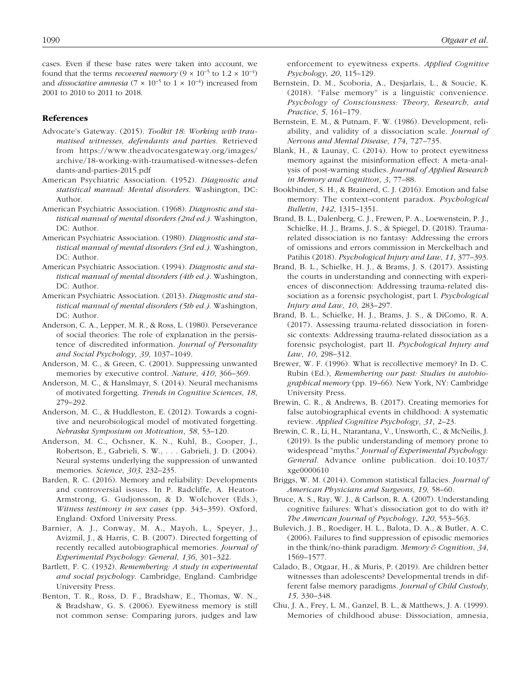cases. Even if these base rates were taken into account, we found that the terms *recovered memory*  $(9 \times 10^{-5}$  to  $1.2 \times 10^{-4})$ and *dissociative amnesia* (7 × 10<sup>-5</sup> to 1 × 10<sup>-4</sup>) increased from 2001 to 2010 to 2011 to 2018.

#### References

- Advocate's Gateway. (2015). *Toolkit 18: Working with traumatised witnesses, defendants and parties*. Retrieved from [https://www.theadvocatesgateway.org/images/](https://www.theadvocatesgateway.org/images/archive/18-working-with-traumatised-witnesses-defendants-and-parties-2015.pdf) [archive/18-working-with-traumatised-witnesses-defen](https://www.theadvocatesgateway.org/images/archive/18-working-with-traumatised-witnesses-defendants-and-parties-2015.pdf) dants-and-parties-2015.pdf
- American Psychiatric Association. (1952). *Diagnostic and statistical manual: Mental disorders*. Washington, DC: Author.
- American Psychiatric Association. (1968). *Diagnostic and statistical manual of mental disorders (2nd ed.)*. Washington, DC: Author.
- American Psychiatric Association. (1980). *Diagnostic and statistical manual of mental disorders (3rd ed.)*. Washington, DC: Author.
- American Psychiatric Association. (1994). *Diagnostic and statistical manual of mental disorders (4th ed.)*. Washington, DC: Author.
- American Psychiatric Association. (2013). *Diagnostic and statistical manual of mental disorders (5th ed.)*. Washington, DC: Author.
- Anderson, C. A., Lepper, M. R., & Ross, L. (1980). Perseverance of social theories: The role of explanation in the persistence of discredited information. *Journal of Personality and Social Psychology*, *39*, 1037–1049.
- Anderson, M. C., & Green, C. (2001). Suppressing unwanted memories by executive control. *Nature*, *410*, 366–369.
- Anderson, M. C., & Hanslmayr, S. (2014). Neural mechanisms of motivated forgetting. *Trends in Cognitive Sciences*, *18*, 279–292.
- Anderson, M. C., & Huddleston, E. (2012). Towards a cognitive and neurobiological model of motivated forgetting. *Nebraska Symposium on Motivation*, *58*, 53–120.
- Anderson, M. C., Ochsner, K. N., Kuhl, B., Cooper, J., Robertson, E., Gabrieli, S. W., . . . Gabrieli, J. D. (2004). Neural systems underlying the suppression of unwanted memories. *Science*, *303*, 232–235.
- Barden, R. C. (2016). Memory and reliability: Developments and controversial issues. In P. Radcliffe, A. Heaton-Armstrong, G. Gudjonsson, & D. Wolchover (Eds.), *Witness testimony in sex cases* (pp. 343–359). Oxford, England: Oxford University Press.
- Barnier, A. J., Conway, M. A., Mayoh, L., Speyer, J., Avizmil, J., & Harris, C. B. (2007). Directed forgetting of recently recalled autobiographical memories. *Journal of Experimental Psychology: General*, *136*, 301–322.
- Bartlett, F. C. (1932). *Remembering: A study in experimental and social psychology*. Cambridge, England: Cambridge University Press.
- Benton, T. R., Ross, D. F., Bradshaw, E., Thomas, W. N., & Bradshaw, G. S. (2006). Eyewitness memory is still not common sense: Comparing jurors, judges and law

enforcement to eyewitness experts. *Applied Cognitive Psychology*, *20*, 115–129.

- Bernstein, D. M., Scoboria, A., Desjarlais, L., & Soucie, K. (2018). "False memory" is a linguistic convenience. *Psychology of Consciousness: Theory, Research, and Practice*, *5*, 161–179.
- Bernstein, E. M., & Putnam, F. W. (1986). Development, reliability, and validity of a dissociation scale. *Journal of Nervous and Mental Disease*, *174*, 727–735.
- Blank, H., & Launay, C. (2014). How to protect eyewitness memory against the misinformation effect: A meta-analysis of post-warning studies. *Journal of Applied Research in Memory and Cognition*, *3*, 77–88.
- Bookbinder, S. H., & Brainerd, C. J. (2016). Emotion and false memory: The context–content paradox. *Psychological Bulletin*, *142*, 1315–1351.
- Brand, B. L., Dalenberg, C. J., Frewen, P. A., Loewenstein, P. J., Schielke, H. J., Brams, J. S., & Spiegel, D. (2018). Traumarelated dissociation is no fantasy: Addressing the errors of omissions and errors commission in Merckelbach and Patihis (2018). *Psychological Injury and Law*, *11*, 377–393.
- Brand, B. L., Schielke, H. J., & Brams, J. S. (2017). Assisting the courts in understanding and connecting with experiences of disconnection: Addressing trauma-related dissociation as a forensic psychologist, part I. *Psychological Injury and Law*, *10*, 283–297.
- Brand, B. L., Schielke, H. J., Brams, J. S., & DiComo, R. A. (2017). Assessing trauma-related dissociation in forensic contexts: Addressing trauma-related dissociation as a forensic psychologist, part II. *Psychological Injury and Law*, *10*, 298–312.
- Brewer, W. F. (1996). What is recollective memory? In D. C. Rubin (Ed.), *Remembering our past: Studies in autobiographical memory* (pp. 19–66). New York, NY: Cambridge University Press.
- Brewin, C. R., & Andrews, B. (2017). Creating memories for false autobiographical events in childhood: A systematic review. *Applied Cognitive Psychology*, *31*, 2–23.
- Brewin, C. R., Li, H., Ntarantana, V., Unsworth, C., & McNeilis, J. (2019). Is the public understanding of memory prone to widespread "myths." *Journal of Experimental Psychology: General*. Advance online publication. doi:10.1037/ xge0000610
- Briggs, W. M. (2014). Common statistical fallacies. *Journal of American Physicians and Surgeons*, *19*, 58–60.
- Bruce, A. S., Ray, W. J., & Carlson, R. A. (2007). Understanding cognitive failures: What's dissociation got to do with it? *The American Journal of Psychology*, *120*, 553–563.
- Bulevich, J. B., Roediger, H. L., Balota, D. A., & Butler, A. C. (2006). Failures to find suppression of episodic memories in the think/no-think paradigm. *Memory & Cognition*, *34*, 1569–1577.
- Calado, B., Otgaar, H., & Muris, P. (2019). Are children better witnesses than adolescents? Developmental trends in different false memory paradigms. *Journal of Child Custody*, *15*, 330–348.
- Chu, J. A., Frey, L. M., Ganzel, B. L., & Matthews, J. A. (1999). Memories of childhood abuse: Dissociation, amnesia,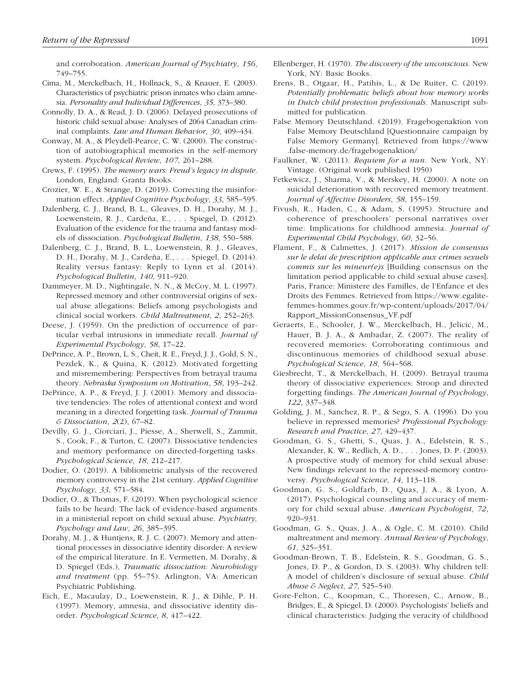and corroboration. *American Journal of Psychiatry*, *156*, 749–755.

- Cima, M., Merckelbach, H., Hollnack, S., & Knauer, E. (2003). Characteristics of psychiatric prison inmates who claim amnesia. *Personality and Individual Differences*, *35*, 373–380.
- Connolly, D. A., & Read, J. D. (2006). Delayed prosecutions of historic child sexual abuse: Analyses of 2064 Canadian criminal complaints. *Law and Human Behavior*, *30*, 409–434.
- Conway, M. A., & Pleydell-Pearce, C. W. (2000). The construction of autobiographical memories in the self-memory system. *Psychological Review*, *107*, 261–288.
- Crews, F. (1995). *The memory wars: Freud's legacy in dispute*. London, England: Granta Books.
- Crozier, W. E., & Strange, D. (2019). Correcting the misinformation effect. *Applied Cognitive Psychology*, *33*, 585–595.
- Dalenberg, C. J., Brand, B. L., Gleaves, D. H., Dorahy, M. J., Loewenstein, R. J., Cardeña, E., . . . Spiegel, D. (2012). Evaluation of the evidence for the trauma and fantasy models of dissociation. *Psychological Bulletin*, *138*, 550–588.
- Dalenberg, C. J., Brand, B. L., Loewenstein, R. J., Gleaves, D. H., Dorahy, M. J., Cardeña, E., . . . Spiegel, D. (2014). Reality versus fantasy: Reply to Lynn et al. (2014). *Psychological Bulletin*, *140*, 911–920.
- Dammeyer, M. D., Nightingale, N. N., & McCoy, M. L. (1997). Repressed memory and other controversial origins of sexual abuse allegations: Beliefs among psychologists and clinical social workers. *Child Maltreatment*, *2*, 252–263.
- Deese, J. (1959). On the prediction of occurrence of particular verbal intrusions in immediate recall. *Journal of Experimental Psychology*, *58*, 17–22.
- DePrince, A. P., Brown, L. S., Cheit, R. E., Freyd, J. J., Gold, S. N., Pezdek, K., & Quina, K. (2012). Motivated forgetting and misremembering: Perspectives from betrayal trauma theory. *Nebraska Symposium on Motivation*, *58*, 193–242.
- DePrince, A. P., & Freyd, J. J. (2001). Memory and dissociative tendencies: The roles of attentional context and word meaning in a directed forgetting task. *Journal of Trauma & Dissociation*, *2*(2), 67–82.
- Devilly, G. J., Ciorciari, J., Piesse, A., Sherwell, S., Zammit, S., Cook, F., & Turton, C. (2007). Dissociative tendencies and memory performance on directed-forgetting tasks. *Psychological Science*, *18*, 212–217.
- Dodier, O. (2019). A bibliometric analysis of the recovered memory controversy in the 21st century. *Applied Cognitive Psychology*, *33*, 571–584.
- Dodier, O., & Thomas, F. (2019). When psychological science fails to be heard: The lack of evidence-based arguments in a ministerial report on child sexual abuse. *Psychiatry, Psychology and Law*, *26*, 385–395.
- Dorahy, M. J., & Huntjens, R. J. C. (2007). Memory and attentional processes in dissociative identity disorder: A review of the empirical literature. In E. Vermetten, M. Dorahy, & D. Spiegel (Eds.), *Traumatic dissociation: Neurobiology and treatment* (pp. 55–75). Arlington, VA: American Psychiatric Publishing.
- Eich, E., Macaulay, D., Loewenstein, R. J., & Dihle, P. H. (1997). Memory, amnesia, and dissociative identity disorder. *Psychological Science*, *8*, 417–422.
- Ellenberger, H. (1970). *The discovery of the unconscious*. New York, NY: Basic Books.
- Erens, B., Otgaar, H., Patihis, L., & De Ruiter, C. (2019). *Potentially problematic beliefs about how memory works in Dutch child protection professionals*. Manuscript submitted for publication.
- False Memory Deutschland. (2019). Fragebogenaktion von False Memory Deutschland [Questionnaire campaign by False Memory Germany]. Retrieved from [https://www](https://www.false-memory.de/fragebogenaktion/) [.false-memory.de/fragebogenaktion/](https://www.false-memory.de/fragebogenaktion/)
- Faulkner, W. (2011). *Requiem for a nun*. New York, NY: Vintage. (Original work published 1950)
- Fetkewicz, J., Sharma, V., & Merskey, H. (2000). A note on suicidal deterioration with recovered memory treatment. *Journal of Affective Disorders*, *58*, 155–159.
- Fivush, R., Haden, C., & Adam, S. (1995). Structure and coherence of preschoolers' personal narratives over time: Implications for childhood amnesia. *Journal of Experimental Child Psychology*, *60*, 32–56.
- Flament, F., & Calmettes, J. (2017). *Mission de consensus sur le delai de prescription applicable aux crimes sexuels commis sur les mineur(e)s* [Building consensus on the limitation period applicable to child sexual abuse cases]. Paris, France: Ministere des Familles, de l'Enfance et des Droits des Femmes. Retrieved from [https://www.egalite](https://www.egalite-femmes-hommes.gouv.fr/wp-content/uploads/2017/04/Rapport_MissionConsensus_VF.pdf)[femmes-hommes.gouv.fr/wp-content/uploads/2017/04/](https://www.egalite-femmes-hommes.gouv.fr/wp-content/uploads/2017/04/Rapport_MissionConsensus_VF.pdf) [Rapport\\_MissionConsensus\\_VF.pdf](https://www.egalite-femmes-hommes.gouv.fr/wp-content/uploads/2017/04/Rapport_MissionConsensus_VF.pdf)
- Geraerts, E., Schooler, J. W., Merckelbach, H., Jelicic, M., Hauer, B. J. A., & Ambadar, Z. (2007). The reality of recovered memories: Corroborating continuous and discontinuous memories of childhood sexual abuse. *Psychological Science*, *18*, 564–568.
- Giesbrecht, T., & Merckelbach, H. (2009). Betrayal trauma theory of dissociative experiences: Stroop and directed forgetting findings. *The American Journal of Psychology*, *122*, 337–348.
- Golding, J. M., Sanchez, R. P., & Sego, S. A. (1996). Do you believe in repressed memories? *Professional Psychology: Research and Practice*, *27*, 429–437.
- Goodman, G. S., Ghetti, S., Quas, J. A., Edelstein, R. S., Alexander, K. W., Redlich, A. D., . . . Jones, D. P. (2003). A prospective study of memory for child sexual abuse: New findings relevant to the repressed-memory controversy. *Psychological Science*, *14*, 113–118.
- Goodman, G. S., Goldfarb, D., Quas, J. A., & Lyon, A. (2017). Psychological counseling and accuracy of memory for child sexual abuse. *American Psychologist*, *72*, 920–931.
- Goodman, G. S., Quas, J. A., & Ogle, C. M. (2010). Child maltreatment and memory. *Annual Review of Psychology*, *61*, 325–351.
- Goodman-Brown, T. B., Edelstein, R. S., Goodman, G. S., Jones, D. P., & Gordon, D. S. (2003). Why children tell: A model of children's disclosure of sexual abuse. *Child Abuse & Neglect*, *27*, 525–540.
- Gore-Felton, C., Koopman, C., Thoresen, C., Arnow, B., Bridges, E., & Spiegel, D. (2000). Psychologists' beliefs and clinical characteristics: Judging the veracity of childhood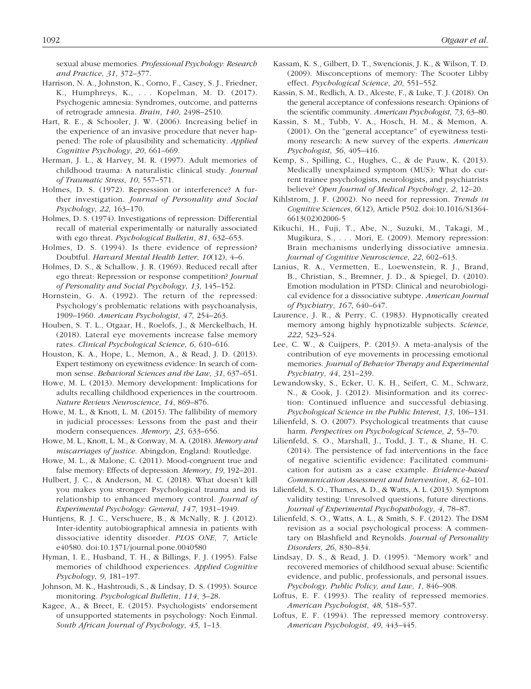sexual abuse memories. *Professional Psychology: Research and Practice*, *31*, 372–377.

- Harrison, N. A., Johnston, K., Corno, F., Casey, S. J., Friedner, K., Humphreys, K., . . . Kopelman, M. D. (2017). Psychogenic amnesia: Syndromes, outcome, and patterns of retrograde amnesia. *Brain*, *140*, 2498–2510.
- Hart, R. E., & Schooler, J. W. (2006). Increasing belief in the experience of an invasive procedure that never happened: The role of plausibility and schematicity. *Applied Cognitive Psychology*, *20*, 661–669.
- Herman, J. L., & Harvey, M. R. (1997). Adult memories of childhood trauma: A naturalistic clinical study. *Journal of Traumatic Stress*, *10*, 557–571.
- Holmes, D. S. (1972). Repression or interference? A further investigation. *Journal of Personality and Social Psychology*, *22*, 163–170.
- Holmes, D. S. (1974). Investigations of repression: Differential recall of material experimentally or naturally associated with ego threat. *Psychological Bulletin*, *81*, 632–653.
- Holmes, D. S. (1994). Is there evidence of repression? Doubtful. *Harvard Mental Health Letter*, *10*(12), 4–6.
- Holmes, D. S., & Schallow, J. R. (1969). Reduced recall after ego threat: Repression or response competition? *Journal of Personality and Social Psychology*, *13*, 145–152.
- Hornstein, G. A. (1992). The return of the repressed: Psychology's problematic relations with psychoanalysis, 1909–1960. *American Psychologist*, *47*, 254–263.
- Houben, S. T. L., Otgaar, H., Roelofs, J., & Merckelbach, H. (2018). Lateral eye movements increase false memory rates. *Clinical Psychological Science*, *6*, 610–616.
- Houston, K. A., Hope, L., Memon, A., & Read, J. D. (2013). Expert testimony on eyewitness evidence: In search of common sense. *Behavioral Sciences and the Law*, *31*, 637–651.
- Howe, M. L. (2013). Memory development: Implications for adults recalling childhood experiences in the courtroom. *Nature Reviews Neuroscience*, *14*, 869–876.
- Howe, M. L., & Knott, L. M. (2015). The fallibility of memory in judicial processes: Lessons from the past and their modern consequences. *Memory*, *23*, 633–656.
- Howe, M. L., Knott, L. M., & Conway, M. A. (2018). *Memory and miscarriages of justice*. Abingdon, England: Routledge.
- Howe, M. L., & Malone, C. (2011). Mood-congruent true and false memory: Effects of depression. *Memory*, *19*, 192–201.
- Hulbert, J. C., & Anderson, M. C. (2018). What doesn't kill you makes you stronger: Psychological trauma and its relationship to enhanced memory control. *Journal of Experimental Psychology: General*, *147*, 1931–1949.
- Huntjens, R. J. C., Verschuere, B., & McNally, R. J. (2012). Inter-identity autobiographical amnesia in patients with dissociative identity disorder. *PLOS ONE*, *7*, Article e40580. doi:10.1371/journal.pone.0040580
- Hyman, I. E., Husband, T. H., & Billings, F. J. (1995). False memories of childhood experiences. *Applied Cognitive Psychology*, *9*, 181–197.
- Johnson, M. K., Hashtroudi, S., & Lindsay, D. S. (1993). Source monitoring. *Psychological Bulletin*, *114*, 3–28.
- Kagee, A., & Breet, E. (2015). Psychologists' endorsement of unsupported statements in psychology: Noch Einmal. *South African Journal of Psychology*, *45*, 1–13.
- Kassam, K. S., Gilbert, D. T., Swencionis, J. K., & Wilson, T. D. (2009). Misconceptions of memory: The Scooter Libby effect. *Psychological Science*, *20*, 551–552.
- Kassin, S. M., Redlich, A. D., Alceste, F., & Luke, T. J. (2018). On the general acceptance of confessions research: Opinions of the scientific community. *American Psychologist*, *73*, 63–80.
- Kassin, S. M., Tubb, V. A., Hosch, H. M., & Memon, A. (2001). On the "general acceptance" of eyewitness testimony research: A new survey of the experts. *American Psychologist*, *56*, 405–416.
- Kemp, S., Spilling, C., Hughes, C., & de Pauw, K. (2013). Medically unexplained symptom (MUS): What do current trainee psychologists, neurologists, and psychiatrists believe? *Open Journal of Medical Psychology*, *2*, 12–20.
- Kihlstrom, J. F. (2002). No need for repression. *Trends in Cognitive Sciences*, *6*(12), Article P502. doi:10.1016/S1364- 6613(02)02006-5
- Kikuchi, H., Fuji, T., Abe, N., Suzuki, M., Takagi, M., Mugikura, S., . . . Mori, E. (2009). Memory repression: Brain mechanisms underlying dissociative amnesia. *Journal of Cognitive Neuroscience*, *22*, 602–613.
- Lanius, R. A., Vermetten, E., Loewenstein, R. J., Brand, B., Christian, S., Bremner, J. D., & Spiegel, D. (2010). Emotion modulation in PTSD: Clinical and neurobiological evidence for a dissociative subtype. *American Journal of Psychiatry*, *167*, 640–647.
- Laurence, J. R., & Perry, C. (1983). Hypnotically created memory among highly hypnotizable subjects. *Science*, *222*, 523–524.
- Lee, C. W., & Cuijpers, P. (2013). A meta-analysis of the contribution of eye movements in processing emotional memories. *Journal of Behavior Therapy and Experimental Psychiatry*, *44*, 231–239.
- Lewandowsky, S., Ecker, U. K. H., Seifert, C. M., Schwarz, N., & Cook, J. (2012). Misinformation and its correction: Continued influence and successful debiasing. *Psychological Science in the Public Interest*, *13*, 106–131.
- Lilienfeld, S. O. (2007). Psychological treatments that cause harm. *Perspectives on Psychological Science*, *2*, 53–70.
- Lilienfeld, S. O., Marshall, J., Todd, J. T., & Shane, H. C. (2014). The persistence of fad interventions in the face of negative scientific evidence: Facilitated communication for autism as a case example. *Evidence-based Communication Assessment and Intervention*, *8*, 62–101.
- Lilienfeld, S. O., Thames, A. D., & Watts, A. L. (2013). Symptom validity testing: Unresolved questions, future directions. *Journal of Experimental Psychopathology*, *4*, 78–87.
- Lilienfeld, S. O., Watts, A. L., & Smith, S. F. (2012). The DSM revision as a social psychological process: A commentary on Blashfield and Reynolds. *Journal of Personality Disorders*, *26*, 830–834.
- Lindsay, D. S., & Read, J. D. (1995). "Memory work" and recovered memories of childhood sexual abuse: Scientific evidence, and public, professionals, and personal issues. *Psychology, Public Policy, and Law*, *1*, 846–908.
- Loftus, E. F. (1993). The reality of repressed memories. *American Psychologist*, *48*, 518–537.
- Loftus, E. F. (1994). The repressed memory controversy. *American Psychologist*, *49*, 443–445.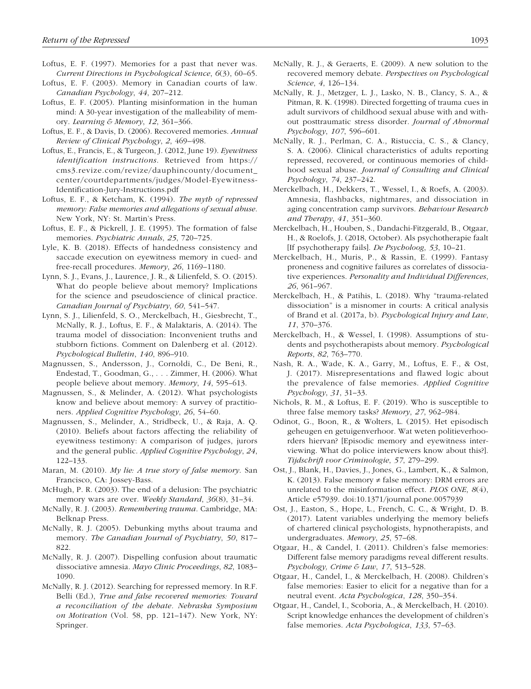- Loftus, E. F. (1997). Memories for a past that never was. *Current Directions in Psychological Science*, *6*(3), 60–65.
- Loftus, E. F. (2003). Memory in Canadian courts of law. *Canadian Psychology*, *44*, 207–212.
- Loftus, E. F. (2005). Planting misinformation in the human mind: A 30-year investigation of the malleability of memory. *Learning & Memory*, *12*, 361–366.
- Loftus, E. F., & Davis, D. (2006). Recovered memories. *Annual Review of Clinical Psychology*, *2*, 469–498.
- Loftus, E., Francis, E., & Turgeon, J. (2012, June 19). *Eyewitness identification instructions*. Retrieved from [https://](https://cms3.revize.com/revize/dauphincounty/document_center/courtdepartments/judges/Model-Eyewitness-Identification-Jury-Instructions.pdf) [cms3.revize.com/revize/dauphincounty/document\\_](https://cms3.revize.com/revize/dauphincounty/document_center/courtdepartments/judges/Model-Eyewitness-Identification-Jury-Instructions.pdf) [center/courtdepartments/judges/Model-Eyewitness-](https://cms3.revize.com/revize/dauphincounty/document_center/courtdepartments/judges/Model-Eyewitness-Identification-Jury-Instructions.pdf)[Identification-Jury-Instructions.pdf](https://cms3.revize.com/revize/dauphincounty/document_center/courtdepartments/judges/Model-Eyewitness-Identification-Jury-Instructions.pdf)
- Loftus, E. F., & Ketcham, K. (1994). *The myth of repressed memory: False memories and allegations of sexual abuse*. New York, NY: St. Martin's Press.
- Loftus, E. F., & Pickrell, J. E. (1995). The formation of false memories. *Psychiatric Annals*, *25*, 720–725.
- Lyle, K. B. (2018). Effects of handedness consistency and saccade execution on eyewitness memory in cued- and free-recall procedures. *Memory*, *26*, 1169–1180.
- Lynn, S. J., Evans, J., Laurence, J. R., & Lilienfeld, S. O. (2015). What do people believe about memory? Implications for the science and pseudoscience of clinical practice. *Canadian Journal of Psychiatry*, *60*, 541–547.
- Lynn, S. J., Lilienfeld, S. O., Merckelbach, H., Giesbrecht, T., McNally, R. J., Loftus, E. F., & Malaktaris, A. (2014). The trauma model of dissociation: Inconvenient truths and stubborn fictions. Comment on Dalenberg et al. (2012). *Psychological Bulletin*, *140*, 896–910.
- Magnussen, S., Andersson, J., Cornoldi, C., De Beni, R., Endestad, T., Goodman, G., . . . Zimmer, H. (2006). What people believe about memory. *Memory*, *14*, 595–613.
- Magnussen, S., & Melinder, A. (2012). What psychologists know and believe about memory: A survey of practitioners. *Applied Cognitive Psychology*, *26*, 54–60.
- Magnussen, S., Melinder, A., Stridbeck, U., & Raja, A. Q. (2010). Beliefs about factors affecting the reliability of eyewitness testimony: A comparison of judges, jurors and the general public. *Applied Cognitive Psychology*, *24*, 122–133.
- Maran, M. (2010). *My lie: A true story of false memory*. San Francisco, CA: Jossey-Bass.
- McHugh, P. R. (2003). The end of a delusion: The psychiatric memory wars are over. *Weekly Standard*, *36*(8), 31–34.
- McNally, R. J. (2003). *Remembering trauma*. Cambridge, MA: Belknap Press.
- McNally, R. J. (2005). Debunking myths about trauma and memory. *The Canadian Journal of Psychiatry*, *50*, 817– 822.
- McNally, R. J. (2007). Dispelling confusion about traumatic dissociative amnesia. *Mayo Clinic Proceedings*, *82*, 1083– 1090.
- McNally, R. J. (2012). Searching for repressed memory. In R.F. Belli (Ed.), *True and false recovered memories: Toward a reconciliation of the debate. Nebraska Symposium on Motivation* (Vol. 58, pp. 121–147). New York, NY: Springer.
- McNally, R. J., & Geraerts, E. (2009). A new solution to the recovered memory debate. *Perspectives on Psychological Science*, *4*, 126–134.
- McNally, R. J., Metzger, L. J., Lasko, N. B., Clancy, S. A., & Pitman, R. K. (1998). Directed forgetting of trauma cues in adult survivors of childhood sexual abuse with and without posttraumatic stress disorder. *Journal of Abnormal Psychology*, *107*, 596–601.
- McNally, R. J., Perlman, C. A., Ristuccia, C. S., & Clancy, S. A. (2006). Clinical characteristics of adults reporting repressed, recovered, or continuous memories of childhood sexual abuse. *Journal of Consulting and Clinical Psychology*, *74*, 237–242.
- Merckelbach, H., Dekkers, T., Wessel, I., & Roefs, A. (2003). Amnesia, flashbacks, nightmares, and dissociation in aging concentration camp survivors. *Behaviour Research and Therapy*, *41*, 351–360.
- Merckelbach, H., Houben, S., Dandachi-Fitzgerald, B., Otgaar, H., & Roelofs, J. (2018, October). Als psychotherapie faalt [If psychotherapy fails]. *De Psycholoog*, *53*, 10–21.
- Merckelbach, H., Muris, P., & Rassin, E. (1999). Fantasy proneness and cognitive failures as correlates of dissociative experiences. *Personality and Individual Differences*, *26*, 961–967.
- Merckelbach, H., & Patihis, L. (2018). Why "trauma-related dissociation" is a misnomer in courts: A critical analysis of Brand et al. (2017a, b). *Psychological Injury and Law*, *11*, 370–376.
- Merckelbach, H., & Wessel, I. (1998). Assumptions of students and psychotherapists about memory. *Psychological Reports*, *82*, 763–770.
- Nash, R. A., Wade, K. A., Garry, M., Loftus, E. F., & Ost, J. (2017). Misrepresentations and flawed logic about the prevalence of false memories. *Applied Cognitive Psychology*, *31*, 31–33.
- Nichols, R. M., & Loftus, E. F. (2019). Who is susceptible to three false memory tasks? *Memory*, *27*, 962–984.
- Odinot, G., Boon, R., & Wolters, L. (2015). Het episodisch geheugen en getuigenverhoor. Wat weten politieverhoorders hiervan? [Episodic memory and eyewitness interviewing. What do police interviewers know about this?]. *Tijdschrift voor Criminologie*, *57*, 279–299.
- Ost, J., Blank, H., Davies, J., Jones, G., Lambert, K., & Salmon, K. (2013). False memory  $\neq$  false memory: DRM errors are unrelated to the misinformation effect. *PLOS ONE*, *8*(4), Article e57939. doi:10.1371/journal.pone.0057939
- Ost, J., Easton, S., Hope, L., French, C. C., & Wright, D. B. (2017). Latent variables underlying the memory beliefs of chartered clinical psychologists, hypnotherapists, and undergraduates. *Memory*, *25*, 57–68.
- Otgaar, H., & Candel, I. (2011). Children's false memories: Different false memory paradigms reveal different results. *Psychology, Crime & Law*, *17*, 513–528.
- Otgaar, H., Candel, I., & Merckelbach, H. (2008). Children's false memories: Easier to elicit for a negative than for a neutral event. *Acta Psychologica*, *128*, 350–354.
- Otgaar, H., Candel, I., Scoboria, A., & Merckelbach, H. (2010). Script knowledge enhances the development of children's false memories. *Acta Psychologica*, *133*, 57–63.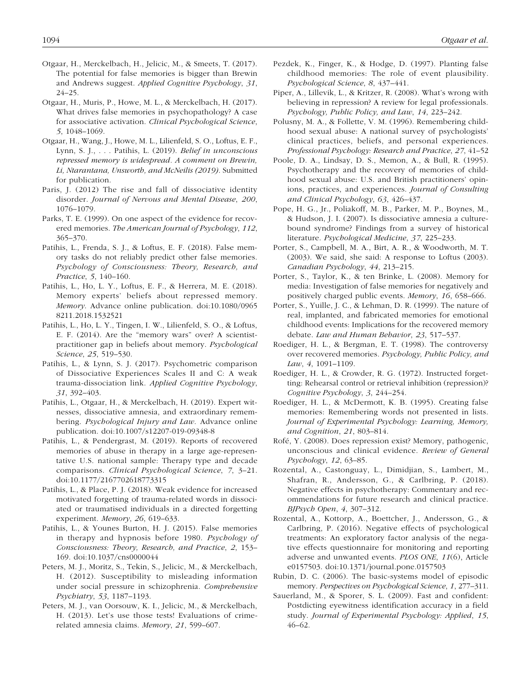- Otgaar, H., Merckelbach, H., Jelicic, M., & Smeets, T. (2017). The potential for false memories is bigger than Brewin and Andrews suggest. *Applied Cognitive Psychology*, *31*, 24–25.
- Otgaar, H., Muris, P., Howe, M. L., & Merckelbach, H. (2017). What drives false memories in psychopathology? A case for associative activation. *Clinical Psychological Science*, *5*, 1048–1069.
- Otgaar, H., Wang, J., Howe, M. L., Lilienfeld, S. O., Loftus, E. F., Lynn, S. J., . . . Patihis, L. (2019). *Belief in unconscious repressed memory is widespread. A comment on Brewin, Li, Ntarantana, Unsworth, and McNeilis (2019)*. Submitted for publication.
- Paris, J. (2012) The rise and fall of dissociative identity disorder. *Journal of Nervous and Mental Disease*, *200*, 1076–1079.
- Parks, T. E. (1999). On one aspect of the evidence for recovered memories. *The American Journal of Psychology*, *112*, 365–370.
- Patihis, L., Frenda, S. J., & Loftus, E. F. (2018). False memory tasks do not reliably predict other false memories. *Psychology of Consciousness: Theory, Research, and Practice*, *5*, 140–160.
- Patihis, L., Ho, L. Y., Loftus, E. F., & Herrera, M. E. (2018). Memory experts' beliefs about repressed memory. *Memory*. Advance online publication. doi:10.1080/0965 8211.2018.1532521
- Patihis, L., Ho, L. Y., Tingen, I. W., Lilienfeld, S. O., & Loftus, E. F. (2014). Are the "memory wars" over? A scientistpractitioner gap in beliefs about memory. *Psychological Science*, *25*, 519–530.
- Patihis, L., & Lynn, S. J. (2017). Psychometric comparison of Dissociative Experiences Scales II and C: A weak trauma-dissociation link. *Applied Cognitive Psychology*, *31*, 392–403.
- Patihis, L., Otgaar, H., & Merckelbach, H. (2019). Expert witnesses, dissociative amnesia, and extraordinary remembering. *Psychological Injury and Law*. Advance online publication. doi:10.1007/s12207-019-09348-8
- Patihis, L., & Pendergrast, M. (2019). Reports of recovered memories of abuse in therapy in a large age-representative U.S. national sample: Therapy type and decade comparisons. *Clinical Psychological Science*, *7*, 3–21. doi:10.1177/2167702618773315
- Patihis, L., & Place, P. J. (2018). Weak evidence for increased motivated forgetting of trauma-related words in dissociated or traumatised individuals in a directed forgetting experiment. *Memory*, *26*, 619–633.
- Patihis, L., & Younes Burton, H. J. (2015). False memories in therapy and hypnosis before 1980. *Psychology of Consciousness: Theory, Research, and Practice*, *2*, 153– 169. doi:10.1037/cns0000044
- Peters, M. J., Moritz, S., Tekin, S., Jelicic, M., & Merckelbach, H. (2012). Susceptibility to misleading information under social pressure in schizophrenia. *Comprehensive Psychiatry*, *53*, 1187–1193.
- Peters, M. J., van Oorsouw, K. I., Jelicic, M., & Merckelbach, H. (2013). Let's use those tests! Evaluations of crimerelated amnesia claims. *Memory*, *21*, 599–607.
- Pezdek, K., Finger, K., & Hodge, D. (1997). Planting false childhood memories: The role of event plausibility. *Psychological Science*, *8*, 437–441.
- Piper, A., Lillevik, L., & Kritzer, R. (2008). What's wrong with believing in repression? A review for legal professionals. *Psychology, Public Policy, and Law*, *14*, 223–242.
- Polusny, M. A., & Follette, V. M. (1996). Remembering childhood sexual abuse: A national survey of psychologists' clinical practices, beliefs, and personal experiences. *Professional Psychology: Research and Practice*, *27*, 41–52
- Poole, D. A., Lindsay, D. S., Memon, A., & Bull, R. (1995). Psychotherapy and the recovery of memories of childhood sexual abuse: U.S. and British practitioners' opinions, practices, and experiences. *Journal of Consulting and Clinical Psychology*, *63*, 426–437.
- Pope, H. G., Jr., Poliakoff, M. B., Parker, M. P., Boynes, M., & Hudson, J. I. (2007). Is dissociative amnesia a culturebound syndrome? Findings from a survey of historical literature. *Psychological Medicine*, *37*, 225–233.
- Porter, S., Campbell, M. A., Birt, A. R., & Woodworth, M. T. (2003). We said, she said: A response to Loftus (2003). *Canadian Psychology*, *44*, 213–215.
- Porter, S., Taylor, K., & ten Brinke, L. (2008). Memory for media: Investigation of false memories for negatively and positively charged public events. *Memory*, *16*, 658–666.
- Porter, S., Yuille, J. C., & Lehman, D. R. (1999). The nature of real, implanted, and fabricated memories for emotional childhood events: Implications for the recovered memory debate. *Law and Human Behavior*, *23*, 517–537.
- Roediger, H. L., & Bergman, E. T. (1998). The controversy over recovered memories. *Psychology, Public Policy, and Law*, *4*, 1091–1109.
- Roediger, H. L., & Crowder, R. G. (1972). Instructed forgetting: Rehearsal control or retrieval inhibition (repression)? *Cognitive Psychology*, *3*, 244–254.
- Roediger, H. L., & McDermott, K. B. (1995). Creating false memories: Remembering words not presented in lists. *Journal of Experimental Psychology: Learning, Memory, and Cognition*, *21*, 803–814.
- Rofé, Y. (2008). Does repression exist? Memory, pathogenic, unconscious and clinical evidence. *Review of General Psychology*, *12*, 63–85.
- Rozental, A., Castonguay, L., Dimidjian, S., Lambert, M., Shafran, R., Andersson, G., & Carlbring, P. (2018). Negative effects in psychotherapy: Commentary and recommendations for future research and clinical practice. *BJPsych Open*, *4*, 307–312.
- Rozental, A., Kottorp, A., Boettcher, J., Andersson, G., & Carlbring, P. (2016). Negative effects of psychological treatments: An exploratory factor analysis of the negative effects questionnaire for monitoring and reporting adverse and unwanted events. *PLOS ONE*, *11*(6), Article e0157503. doi:10.1371/journal.pone.0157503
- Rubin, D. C. (2006). The basic-systems model of episodic memory. *Perspectives on Psychological Science*, *1*, 277–311.
- Sauerland, M., & Sporer, S. L. (2009). Fast and confident: Postdicting eyewitness identification accuracy in a field study. *Journal of Experimental Psychology: Applied*, *15*, 46–62.